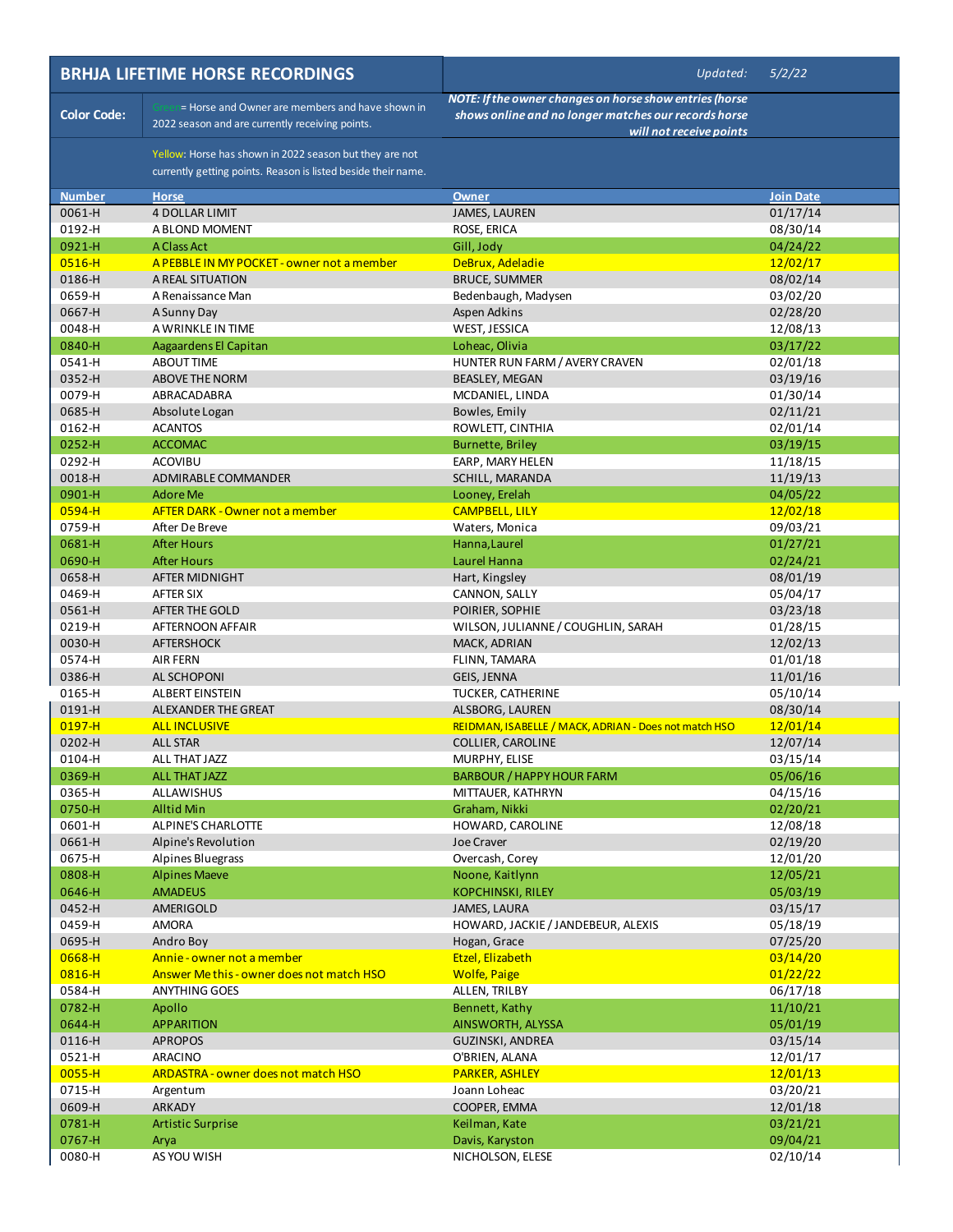|                    | <b>BRHJA LIFETIME HORSE RECORDINGS</b>                                                                                   | Updated:                                                                                                                                   | 5/2/22               |
|--------------------|--------------------------------------------------------------------------------------------------------------------------|--------------------------------------------------------------------------------------------------------------------------------------------|----------------------|
| <b>Color Code:</b> | = Horse and Owner are members and have shown in<br>2022 season and are currently receiving points.                       | NOTE: If the owner changes on horse show entries (horse<br>shows online and no longer matches our records horse<br>will not receive points |                      |
|                    | Yellow: Horse has shown in 2022 season but they are not<br>currently getting points. Reason is listed beside their name. |                                                                                                                                            |                      |
| <b>Number</b>      | <b>Horse</b>                                                                                                             | <b>Owner</b>                                                                                                                               | Join Date            |
| 0061-H             | <b>4 DOLLAR LIMIT</b>                                                                                                    | <b>JAMES, LAUREN</b>                                                                                                                       | 01/17/14             |
| 0192-H             | A BLOND MOMENT                                                                                                           | ROSE, ERICA                                                                                                                                | 08/30/14             |
| 0921-H             | A Class Act                                                                                                              | Gill, Jody                                                                                                                                 | 04/24/22             |
| $0516 - H$         | A PEBBLE IN MY POCKET - owner not a member                                                                               | DeBrux, Adeladie                                                                                                                           | 12/02/17             |
| 0186-H             | A REAL SITUATION                                                                                                         | <b>BRUCE, SUMMER</b>                                                                                                                       | 08/02/14             |
| 0659-H<br>0667-H   | A Renaissance Man                                                                                                        | Bedenbaugh, Madysen<br>Aspen Adkins                                                                                                        | 03/02/20<br>02/28/20 |
| 0048-H             | A Sunny Day<br>A WRINKLE IN TIME                                                                                         | WEST, JESSICA                                                                                                                              | 12/08/13             |
| 0840-H             | Aagaardens El Capitan                                                                                                    | Loheac, Olivia                                                                                                                             | 03/17/22             |
| 0541-H             | <b>ABOUT TIME</b>                                                                                                        | HUNTER RUN FARM / AVERY CRAVEN                                                                                                             | 02/01/18             |
| 0352-H             | ABOVE THE NORM                                                                                                           | <b>BEASLEY, MEGAN</b>                                                                                                                      | 03/19/16             |
| 0079-H             | ABRACADABRA                                                                                                              | MCDANIEL, LINDA                                                                                                                            | 01/30/14             |
| 0685-H             | Absolute Logan                                                                                                           | Bowles, Emily                                                                                                                              | 02/11/21             |
| 0162-H             | <b>ACANTOS</b>                                                                                                           | ROWLETT, CINTHIA                                                                                                                           | 02/01/14             |
| 0252-H             | <b>ACCOMAC</b>                                                                                                           | <b>Burnette, Briley</b>                                                                                                                    | 03/19/15             |
| 0292-H             | <b>ACOVIBU</b>                                                                                                           | EARP, MARY HELEN                                                                                                                           | 11/18/15             |
| 0018-H             | ADMIRABLE COMMANDER                                                                                                      | SCHILL, MARANDA                                                                                                                            | 11/19/13             |
| 0901-H             | <b>Adore Me</b>                                                                                                          | Looney, Erelah                                                                                                                             | 04/05/22             |
| $0594 - H$         | <b>AFTER DARK - Owner not a member</b>                                                                                   | <b>CAMPBELL, LILY</b>                                                                                                                      | 12/02/18             |
| 0759-H             | After De Breve                                                                                                           | Waters, Monica                                                                                                                             | 09/03/21             |
| 0681-H             | <b>After Hours</b>                                                                                                       | Hanna, Laurel                                                                                                                              | 01/27/21             |
| 0690-H             | <b>After Hours</b>                                                                                                       | Laurel Hanna                                                                                                                               | 02/24/21             |
| 0658-H             | AFTER MIDNIGHT                                                                                                           | Hart, Kingsley                                                                                                                             | 08/01/19             |
| 0469-H             | AFTER SIX                                                                                                                | CANNON, SALLY                                                                                                                              | 05/04/17             |
| 0561-H             | AFTER THE GOLD                                                                                                           | POIRIER, SOPHIE                                                                                                                            | 03/23/18             |
| 0219-H             | AFTERNOON AFFAIR                                                                                                         | WILSON, JULIANNE / COUGHLIN, SARAH                                                                                                         | 01/28/15             |
| 0030-H             | <b>AFTERSHOCK</b>                                                                                                        | MACK, ADRIAN                                                                                                                               | 12/02/13             |
| 0574-H<br>0386-H   | <b>AIR FERN</b>                                                                                                          | FLINN, TAMARA                                                                                                                              | 01/01/18             |
| 0165-H             | AL SCHOPONI<br>ALBERT EINSTEIN                                                                                           | GEIS, JENNA<br><b>TUCKER, CATHERINE</b>                                                                                                    | 11/01/16<br>05/10/14 |
| 0191-H             | ALEXANDER THE GREAT                                                                                                      | ALSBORG, LAUREN                                                                                                                            | 08/30/14             |
| $0197 - H$         | <b>ALL INCLUSIVE</b>                                                                                                     | REIDMAN, ISABELLE / MACK, ADRIAN - Does not match HSO                                                                                      | 12/01/14             |
| 0202-H             | <b>ALL STAR</b>                                                                                                          | <b>COLLIER, CAROLINE</b>                                                                                                                   | 12/07/14             |
| 0104-H             | ALL THAT JAZZ                                                                                                            | MURPHY, ELISE                                                                                                                              | 03/15/14             |
| 0369-H             | <b>ALL THAT JAZZ</b>                                                                                                     | <b>BARBOUR / HAPPY HOUR FARM</b>                                                                                                           | 05/06/16             |
| 0365-H             | ALLAWISHUS                                                                                                               | MITTAUER, KATHRYN                                                                                                                          | 04/15/16             |
| 0750-H             | <b>Alltid Min</b>                                                                                                        | Graham, Nikki                                                                                                                              | 02/20/21             |
| 0601-H             | ALPINE'S CHARLOTTE                                                                                                       | HOWARD, CAROLINE                                                                                                                           | 12/08/18             |
| 0661-H             | Alpine's Revolution                                                                                                      | <b>Joe Craver</b>                                                                                                                          | 02/19/20             |
| 0675-H             | Alpines Bluegrass                                                                                                        | Overcash, Corey                                                                                                                            | 12/01/20             |
| 0808-H             | <b>Alpines Maeve</b>                                                                                                     | Noone, Kaitlynn                                                                                                                            | 12/05/21             |
| 0646-H             | <b>AMADEUS</b>                                                                                                           | <b>KOPCHINSKI, RILEY</b>                                                                                                                   | 05/03/19             |
| 0452-H             | AMERIGOLD                                                                                                                | JAMES, LAURA                                                                                                                               | 03/15/17             |
| 0459-H             | <b>AMORA</b>                                                                                                             | HOWARD, JACKIE / JANDEBEUR, ALEXIS                                                                                                         | 05/18/19             |
| 0695-H             | Andro Boy                                                                                                                | Hogan, Grace                                                                                                                               | 07/25/20             |
| 0668-H<br>0816-H   | Annie - owner not a member<br>Answer Methis - owner does not match HSO                                                   | Etzel, Elizabeth                                                                                                                           | 03/14/20             |
| 0584-H             | <b>ANYTHING GOES</b>                                                                                                     | <b>Wolfe, Paige</b><br>ALLEN, TRILBY                                                                                                       | 01/22/22<br>06/17/18 |
| 0782-H             | Apollo                                                                                                                   | Bennett, Kathy                                                                                                                             | 11/10/21             |
| 0644-H             | <b>APPARITION</b>                                                                                                        | AINSWORTH, ALYSSA                                                                                                                          | 05/01/19             |
| 0116-H             | <b>APROPOS</b>                                                                                                           | GUZINSKI, ANDREA                                                                                                                           | 03/15/14             |
| 0521-H             | ARACINO                                                                                                                  | O'BRIEN, ALANA                                                                                                                             | 12/01/17             |
| $0055 - H$         | ARDASTRA - owner does not match HSO                                                                                      | <b>PARKER, ASHLEY</b>                                                                                                                      | 12/01/13             |
| 0715-H             | Argentum                                                                                                                 | Joann Loheac                                                                                                                               | 03/20/21             |
| 0609-H             | ARKADY                                                                                                                   | COOPER, EMMA                                                                                                                               | 12/01/18             |
| 0781-H             | <b>Artistic Surprise</b>                                                                                                 | Keilman, Kate                                                                                                                              | 03/21/21             |
| 0767-H             | Arya                                                                                                                     | Davis, Karyston                                                                                                                            | 09/04/21             |
| 0080-H             | AS YOU WISH                                                                                                              | NICHOLSON, ELESE                                                                                                                           | 02/10/14             |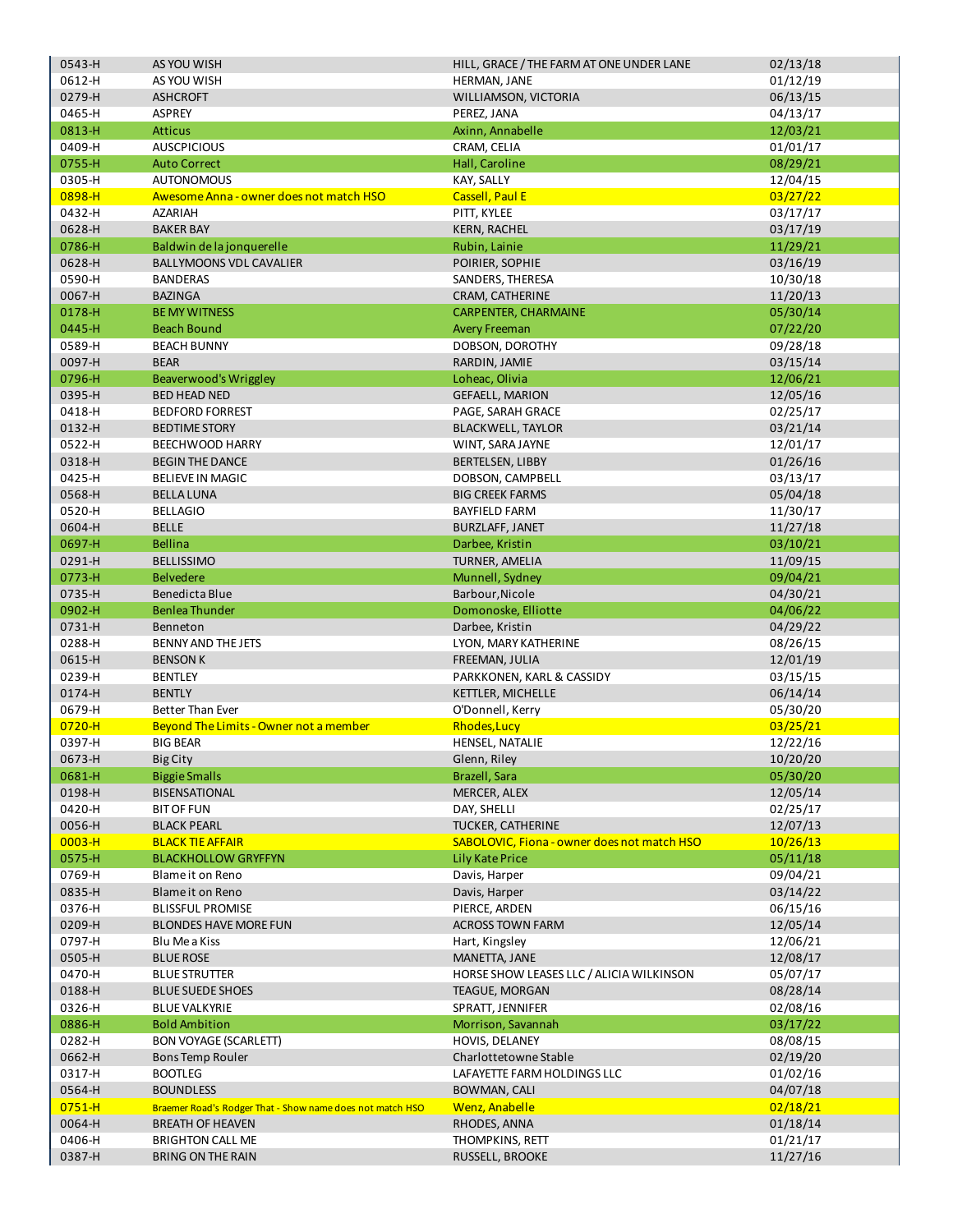| 0543-H     | AS YOU WISH                                               | HILL, GRACE / THE FARM AT ONE UNDER LANE    | 02/13/18 |
|------------|-----------------------------------------------------------|---------------------------------------------|----------|
| 0612-H     | AS YOU WISH                                               | HERMAN, JANE                                | 01/12/19 |
| 0279-H     | <b>ASHCROFT</b>                                           | WILLIAMSON, VICTORIA                        | 06/13/15 |
| 0465-H     | ASPREY                                                    | PEREZ, JANA                                 | 04/13/17 |
| 0813-H     | <b>Atticus</b>                                            | Axinn, Annabelle                            | 12/03/21 |
|            | <b>AUSCPICIOUS</b>                                        |                                             |          |
| 0409-H     |                                                           | CRAM, CELIA                                 | 01/01/17 |
| 0755-H     | <b>Auto Correct</b>                                       | Hall, Caroline                              | 08/29/21 |
| 0305-H     | <b>AUTONOMOUS</b>                                         | KAY, SALLY                                  | 12/04/15 |
| 0898-H     | Awesome Anna - owner does not match HSO                   | <b>Cassell, Paul E</b>                      | 03/27/22 |
| 0432-H     | <b>AZARIAH</b>                                            | PITT, KYLEE                                 | 03/17/17 |
| 0628-H     | <b>BAKER BAY</b>                                          | <b>KERN, RACHEL</b>                         | 03/17/19 |
| 0786-H     | Baldwin de la jonquerelle                                 | Rubin, Lainie                               | 11/29/21 |
| 0628-H     | <b>BALLYMOONS VDL CAVALIER</b>                            |                                             |          |
|            |                                                           | POIRIER, SOPHIE                             | 03/16/19 |
| 0590-H     | <b>BANDERAS</b>                                           | SANDERS, THERESA                            | 10/30/18 |
| 0067-H     | <b>BAZINGA</b>                                            | CRAM, CATHERINE                             | 11/20/13 |
| 0178-H     | <b>BE MY WITNESS</b>                                      | CARPENTER, CHARMAINE                        | 05/30/14 |
| 0445-H     | <b>Beach Bound</b>                                        | <b>Avery Freeman</b>                        | 07/22/20 |
| 0589-H     | <b>BEACH BUNNY</b>                                        | DOBSON, DOROTHY                             | 09/28/18 |
| 0097-H     | <b>BEAR</b>                                               | RARDIN, JAMIE                               | 03/15/14 |
| 0796-H     | Beaverwood's Wriggley                                     | Loheac, Olivia                              | 12/06/21 |
| 0395-H     | <b>BED HEAD NED</b>                                       |                                             |          |
|            |                                                           | <b>GEFAELL, MARION</b>                      | 12/05/16 |
| 0418-H     | <b>BEDFORD FORREST</b>                                    | PAGE, SARAH GRACE                           | 02/25/17 |
| 0132-H     | <b>BEDTIME STORY</b>                                      | <b>BLACKWELL, TAYLOR</b>                    | 03/21/14 |
| 0522-H     | BEECHWOOD HARRY                                           | WINT, SARA JAYNE                            | 12/01/17 |
| 0318-H     | <b>BEGIN THE DANCE</b>                                    | <b>BERTELSEN, LIBBY</b>                     | 01/26/16 |
| 0425-H     | <b>BELIEVE IN MAGIC</b>                                   | DOBSON, CAMPBELL                            | 03/13/17 |
| 0568-H     | <b>BELLA LUNA</b>                                         | <b>BIG CREEK FARMS</b>                      | 05/04/18 |
| 0520-H     | <b>BELLAGIO</b>                                           | <b>BAYFIELD FARM</b>                        | 11/30/17 |
| 0604-H     | <b>BELLE</b>                                              | <b>BURZLAFF, JANET</b>                      | 11/27/18 |
| 0697-H     |                                                           |                                             |          |
|            | <b>Bellina</b>                                            | Darbee, Kristin                             | 03/10/21 |
| 0291-H     | <b>BELLISSIMO</b>                                         | TURNER, AMELIA                              | 11/09/15 |
| 0773-H     | <b>Belvedere</b>                                          | Munnell, Sydney                             | 09/04/21 |
| 0735-H     | Benedicta Blue                                            | Barbour, Nicole                             | 04/30/21 |
| 0902-H     | <b>Benlea Thunder</b>                                     | Domonoske, Elliotte                         | 04/06/22 |
| 0731-H     | Benneton                                                  | Darbee, Kristin                             | 04/29/22 |
| 0288-H     | <b>BENNY AND THE JETS</b>                                 | LYON, MARY KATHERINE                        | 08/26/15 |
| 0615-H     | <b>BENSON K</b>                                           | FREEMAN, JULIA                              | 12/01/19 |
| 0239-H     | <b>BENTLEY</b>                                            | PARKKONEN, KARL & CASSIDY                   | 03/15/15 |
|            |                                                           |                                             |          |
| 0174-H     | <b>BENTLY</b>                                             | KETTLER, MICHELLE                           | 06/14/14 |
| 0679-H     | <b>Better Than Ever</b>                                   | O'Donnell, Kerry                            | 05/30/20 |
| $0720 - H$ | Beyond The Limits - Owner not a member                    | Rhodes, Lucy                                | 03/25/21 |
| 0397-H     | <b>BIG BEAR</b>                                           | HENSEL, NATALIE                             | 12/22/16 |
| 0673-H     | <b>Big City</b>                                           | Glenn, Riley                                | 10/20/20 |
| 0681-H     | <b>Biggie Smalls</b>                                      | Brazell, Sara                               | 05/30/20 |
| 0198-H     | BISENSATIONAL                                             | MERCER, ALEX                                | 12/05/14 |
| 0420-H     | <b>BIT OF FUN</b>                                         | DAY, SHELLI                                 | 02/25/17 |
| 0056-H     | <b>BLACK PEARL</b>                                        | TUCKER, CATHERINE                           | 12/07/13 |
| $0003 - H$ | <b>BLACK TIE AFFAIR</b>                                   | SABOLOVIC, Fiona - owner does not match HSO | 10/26/13 |
|            | <b>BLACKHOLLOW GRYFFYN</b>                                |                                             | 05/11/18 |
| 0575-H     |                                                           | <b>Lily Kate Price</b>                      |          |
| 0769-H     | Blame it on Reno                                          | Davis, Harper                               | 09/04/21 |
| 0835-H     | Blame it on Reno                                          | Davis, Harper                               | 03/14/22 |
| 0376-H     | <b>BLISSFUL PROMISE</b>                                   | PIERCE, ARDEN                               | 06/15/16 |
| 0209-H     | <b>BLONDES HAVE MORE FUN</b>                              | <b>ACROSS TOWN FARM</b>                     | 12/05/14 |
| 0797-H     | Blu Mea Kiss                                              | Hart, Kingsley                              | 12/06/21 |
| 0505-H     | <b>BLUE ROSE</b>                                          | MANETTA, JANE                               | 12/08/17 |
| 0470-H     | <b>BLUE STRUTTER</b>                                      | HORSE SHOW LEASES LLC / ALICIA WILKINSON    | 05/07/17 |
| 0188-H     | <b>BLUE SUEDE SHOES</b>                                   | <b>TEAGUE, MORGAN</b>                       | 08/28/14 |
| 0326-H     | <b>BLUE VALKYRIE</b>                                      | SPRATT, JENNIFER                            | 02/08/16 |
| 0886-H     | <b>Bold Ambition</b>                                      | Morrison, Savannah                          | 03/17/22 |
|            |                                                           |                                             |          |
| 0282-H     | <b>BON VOYAGE (SCARLETT)</b>                              | HOVIS, DELANEY                              | 08/08/15 |
| 0662-H     | <b>Bons Temp Rouler</b>                                   | Charlottetowne Stable                       | 02/19/20 |
| 0317-H     | <b>BOOTLEG</b>                                            | LAFAYETTE FARM HOLDINGS LLC                 | 01/02/16 |
| 0564-H     | <b>BOUNDLESS</b>                                          | <b>BOWMAN, CALI</b>                         | 04/07/18 |
| $0751 - H$ | Braemer Road's Rodger That - Show name does not match HSO | Wenz, Anabelle                              | 02/18/21 |
| 0064-H     | <b>BREATH OF HEAVEN</b>                                   | RHODES, ANNA                                | 01/18/14 |
| 0406-H     | <b>BRIGHTON CALL ME</b>                                   | THOMPKINS, RETT                             | 01/21/17 |
| 0387-H     | <b>BRING ON THE RAIN</b>                                  | RUSSELL, BROOKE                             | 11/27/16 |
|            |                                                           |                                             |          |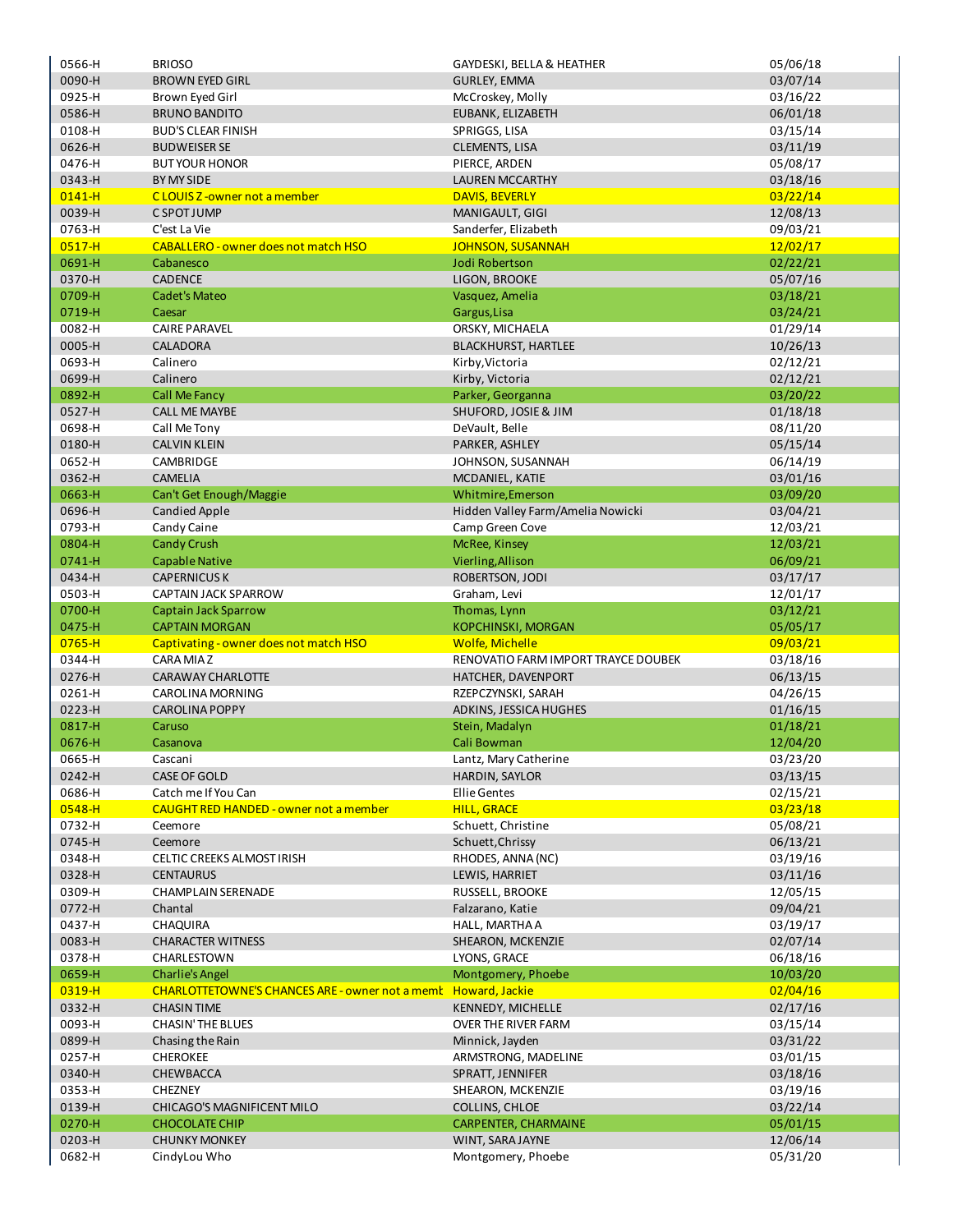| 0566-H           | <b>BRIOSO</b>                                                    | GAYDESKI, BELLA & HEATHER              | 05/06/18             |
|------------------|------------------------------------------------------------------|----------------------------------------|----------------------|
| 0090-H           | <b>BROWN EYED GIRL</b>                                           | <b>GURLEY, EMMA</b>                    | 03/07/14             |
| 0925-H           | Brown Eyed Girl                                                  | McCroskey, Molly                       | 03/16/22             |
| 0586-H           | <b>BRUNO BANDITO</b>                                             | EUBANK, ELIZABETH                      | 06/01/18             |
| 0108-H           | <b>BUD'S CLEAR FINISH</b>                                        | SPRIGGS, LISA                          | 03/15/14             |
|                  |                                                                  |                                        |                      |
| 0626-H           | <b>BUDWEISER SE</b>                                              | <b>CLEMENTS, LISA</b>                  | 03/11/19             |
| 0476-H           | <b>BUT YOUR HONOR</b>                                            | PIERCE, ARDEN                          | 05/08/17             |
| 0343-H           | BY MY SIDE                                                       | <b>LAUREN MCCARTHY</b>                 | 03/18/16             |
| $0141 - H$       | CLOUIS Z-owner not a member                                      | <b>DAVIS, BEVERLY</b>                  | 03/22/14             |
| 0039-H           | C SPOT JUMP                                                      | MANIGAULT, GIGI                        | 12/08/13             |
| 0763-H           | C'est La Vie                                                     | Sanderfer, Elizabeth                   | 09/03/21             |
| $0517 - H$       | <b>CABALLERO - owner does not match HSO</b>                      | <b>JOHNSON, SUSANNAH</b>               | 12/02/17             |
| 0691-H           | Cabanesco                                                        | Jodi Robertson                         | 02/22/21             |
| 0370-H           | <b>CADENCE</b>                                                   | LIGON, BROOKE                          | 05/07/16             |
|                  |                                                                  |                                        |                      |
| 0709-H           | <b>Cadet's Mateo</b>                                             | Vasquez, Amelia                        | 03/18/21             |
| 0719-H           | Caesar                                                           | Gargus, Lisa                           | 03/24/21             |
| 0082-H           | <b>CAIRE PARAVEL</b>                                             | ORSKY, MICHAELA                        | 01/29/14             |
| 0005-H           | CALADORA                                                         | <b>BLACKHURST, HARTLEE</b>             | 10/26/13             |
| 0693-H           | Calinero                                                         | Kirby, Victoria                        | 02/12/21             |
| 0699-H           | Calinero                                                         | Kirby, Victoria                        | 02/12/21             |
| 0892-H           | <b>Call Me Fancy</b>                                             | Parker, Georganna                      | 03/20/22             |
| 0527-H           | <b>CALL ME MAYBE</b>                                             | SHUFORD, JOSIE & JIM                   | 01/18/18             |
| 0698-H           | Call Me Tony                                                     | DeVault, Belle                         | 08/11/20             |
| 0180-H           | <b>CALVIN KLEIN</b>                                              | PARKER, ASHLEY                         | 05/15/14             |
| 0652-H           | CAMBRIDGE                                                        | JOHNSON, SUSANNAH                      | 06/14/19             |
|                  |                                                                  |                                        |                      |
| 0362-H           | <b>CAMELIA</b>                                                   | MCDANIEL, KATIE                        | 03/01/16             |
| 0663-H           | Can't Get Enough/Maggie                                          | Whitmire, Emerson                      | 03/09/20             |
| 0696-H           | <b>Candied Apple</b>                                             | Hidden Valley Farm/Amelia Nowicki      | 03/04/21             |
| 0793-H           | Candy Caine                                                      | Camp Green Cove                        | 12/03/21             |
| 0804-H           | <b>Candy Crush</b>                                               | McRee, Kinsey                          | 12/03/21             |
| 0741-H           | <b>Capable Native</b>                                            | Vierling, Allison                      | 06/09/21             |
| 0434-H           | <b>CAPERNICUS K</b>                                              | ROBERTSON, JODI                        | 03/17/17             |
| 0503-H           | CAPTAIN JACK SPARROW                                             | Graham, Levi                           | 12/01/17             |
|                  |                                                                  |                                        |                      |
| 0700-H           | Captain Jack Sparrow                                             | Thomas, Lynn                           |                      |
| 0475-H           | <b>CAPTAIN MORGAN</b>                                            | <b>KOPCHINSKI, MORGAN</b>              | 03/12/21             |
|                  |                                                                  |                                        | 05/05/17             |
| $0765 - H$       | Captivating - owner does not match HSO                           | <b>Wolfe, Michelle</b>                 | 09/03/21             |
| 0344-H           | CARA MIAZ                                                        | RENOVATIO FARM IMPORT TRAYCE DOUBEK    | 03/18/16             |
| 0276-H           | CARAWAY CHARLOTTE                                                | HATCHER, DAVENPORT                     | 06/13/15             |
| 0261-H           | <b>CAROLINA MORNING</b>                                          | RZEPCZYNSKI, SARAH                     | 04/26/15             |
| 0223-H           | <b>CAROLINA POPPY</b>                                            | ADKINS, JESSICA HUGHES                 | 01/16/15             |
| 0817-H           | Caruso                                                           | Stein, Madalyn                         | 01/18/21             |
| 0676-H           | Casanova                                                         | Cali Bowman                            | 12/04/20             |
| 0665-H           | Cascani                                                          | Lantz, Mary Catherine                  | 03/23/20             |
| 0242-H           | CASE OF GOLD                                                     | HARDIN, SAYLOR                         | 03/13/15             |
| 0686-H           | Catch me If You Can                                              | <b>Ellie Gentes</b>                    | 02/15/21             |
| 0548-H           | <b>CAUGHT RED HANDED - owner not a member</b>                    | <b>HILL, GRACE</b>                     | 03/23/18             |
| 0732-H           | Ceemore                                                          | Schuett, Christine                     | 05/08/21             |
| 0745-H           | Ceemore                                                          | Schuett, Chrissy                       | 06/13/21             |
| 0348-H           | CELTIC CREEKS ALMOST IRISH                                       | RHODES, ANNA (NC)                      |                      |
|                  |                                                                  |                                        | 03/19/16             |
| 0328-H           | <b>CENTAURUS</b>                                                 | LEWIS, HARRIET                         | 03/11/16             |
| 0309-H           | <b>CHAMPLAIN SERENADE</b>                                        | RUSSELL, BROOKE                        | 12/05/15             |
| 0772-H           | Chantal                                                          | Falzarano, Katie                       | 09/04/21             |
| 0437-H           | CHAQUIRA                                                         | HALL, MARTHA A                         | 03/19/17             |
| 0083-H           | <b>CHARACTER WITNESS</b>                                         | SHEARON, MCKENZIE                      | 02/07/14             |
| 0378-H           | CHARLESTOWN                                                      | LYONS, GRACE                           | 06/18/16             |
| 0659-H           | <b>Charlie's Angel</b>                                           | Montgomery, Phoebe                     | 10/03/20             |
| 0319-H           | CHARLOTTETOWNE'S CHANCES ARE - owner not a memble Howard, Jackie |                                        | 02/04/16             |
| 0332-H           | <b>CHASIN TIME</b>                                               | KENNEDY, MICHELLE                      | 02/17/16             |
| 0093-H           | CHASIN' THE BLUES                                                | OVER THE RIVER FARM                    | 03/15/14             |
| 0899-H           | Chasing the Rain                                                 | Minnick, Jayden                        | 03/31/22             |
| 0257-H           | <b>CHEROKEE</b>                                                  | ARMSTRONG, MADELINE                    | 03/01/15             |
|                  | CHEWBACCA                                                        | SPRATT, JENNIFER                       |                      |
| 0340-H           |                                                                  |                                        | 03/18/16             |
| 0353-H           | <b>CHEZNEY</b>                                                   | SHEARON, MCKENZIE                      | 03/19/16             |
| 0139-H           | CHICAGO'S MAGNIFICENT MILO                                       | COLLINS, CHLOE                         | 03/22/14             |
| 0270-H           | <b>CHOCOLATE CHIP</b>                                            | CARPENTER, CHARMAINE                   | 05/01/15             |
| 0203-H<br>0682-H | <b>CHUNKY MONKEY</b><br>CindyLou Who                             | WINT, SARA JAYNE<br>Montgomery, Phoebe | 12/06/14<br>05/31/20 |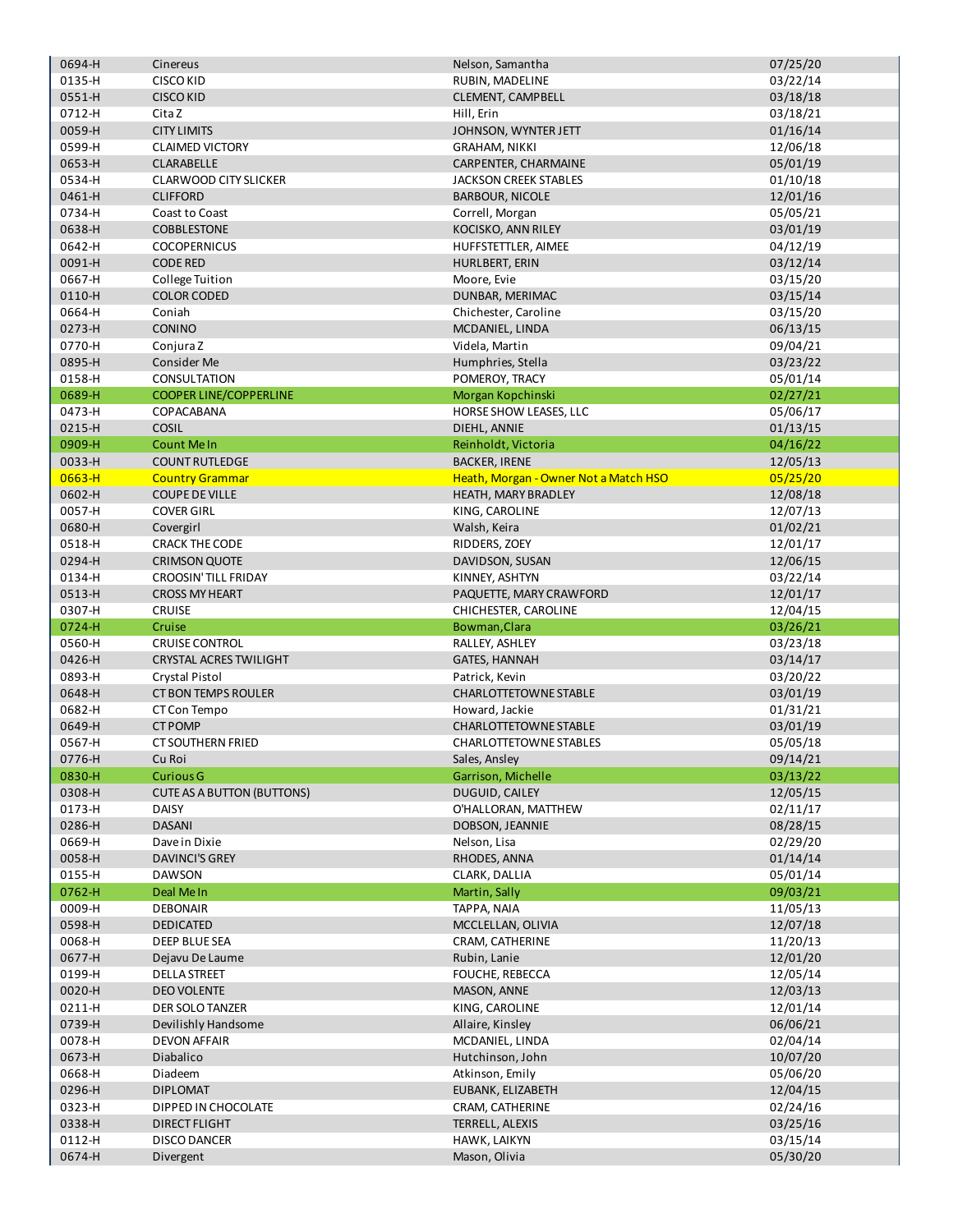| 0694-H           | Cinereus                          | Nelson, Samantha                      | 07/25/20             |
|------------------|-----------------------------------|---------------------------------------|----------------------|
| 0135-H           | <b>CISCO KID</b>                  | RUBIN, MADELINE                       | 03/22/14             |
| 0551-H           | <b>CISCO KID</b>                  | CLEMENT, CAMPBELL                     | 03/18/18             |
| 0712-H           | Cita Z                            | Hill, Erin                            | 03/18/21             |
| 0059-H           | <b>CITY LIMITS</b>                |                                       |                      |
|                  |                                   | JOHNSON, WYNTER JETT                  | 01/16/14             |
| 0599-H           | <b>CLAIMED VICTORY</b>            | <b>GRAHAM, NIKKI</b>                  | 12/06/18             |
| 0653-H           | <b>CLARABELLE</b>                 | CARPENTER, CHARMAINE                  | 05/01/19             |
| 0534-H           | <b>CLARWOOD CITY SLICKER</b>      | <b>JACKSON CREEK STABLES</b>          | 01/10/18             |
| 0461-H           | <b>CLIFFORD</b>                   | <b>BARBOUR, NICOLE</b>                | 12/01/16             |
| 0734-H           | Coast to Coast                    | Correll, Morgan                       | 05/05/21             |
| 0638-H           | <b>COBBLESTONE</b>                | KOCISKO, ANN RILEY                    | 03/01/19             |
| 0642-H           | <b>COCOPERNICUS</b>               | HUFFSTETTLER, AIMEE                   | 04/12/19             |
|                  |                                   |                                       |                      |
| 0091-H           | <b>CODE RED</b>                   | <b>HURLBERT, ERIN</b>                 | 03/12/14             |
| 0667-H           | College Tuition                   | Moore, Evie                           | 03/15/20             |
| 0110-H           | <b>COLOR CODED</b>                | DUNBAR, MERIMAC                       | 03/15/14             |
| 0664-H           | Coniah                            | Chichester, Caroline                  | 03/15/20             |
| 0273-H           | <b>CONINO</b>                     | MCDANIEL, LINDA                       | 06/13/15             |
| 0770-H           | Conjura Z                         | Videla, Martin                        | 09/04/21             |
| 0895-H           | Consider Me                       | Humphries, Stella                     | 03/23/22             |
|                  |                                   |                                       |                      |
| 0158-H           | CONSULTATION                      | POMEROY, TRACY                        | 05/01/14             |
| 0689-H           | <b>COOPER LINE/COPPERLINE</b>     | Morgan Kopchinski                     | 02/27/21             |
| 0473-H           | COPACABANA                        | HORSE SHOW LEASES, LLC                | 05/06/17             |
| 0215-H           | <b>COSIL</b>                      | DIEHL, ANNIE                          | 01/13/15             |
| 0909-H           | <b>Count Me In</b>                | Reinholdt, Victoria                   | 04/16/22             |
| 0033-H           | <b>COUNT RUTLEDGE</b>             | <b>BACKER, IRENE</b>                  | 12/05/13             |
| $0663 - H$       | <b>Country Grammar</b>            | Heath, Morgan - Owner Not a Match HSO | 05/25/20             |
| 0602-H           | <b>COUPE DE VILLE</b>             | HEATH, MARY BRADLEY                   | 12/08/18             |
|                  |                                   |                                       |                      |
| 0057-H           | <b>COVER GIRL</b>                 | KING, CAROLINE                        | 12/07/13             |
| 0680-H           | Covergirl                         | Walsh, Keira                          | 01/02/21             |
| 0518-H           | <b>CRACK THE CODE</b>             | RIDDERS, ZOEY                         | 12/01/17             |
| 0294-H           | <b>CRIMSON QUOTE</b>              | DAVIDSON, SUSAN                       | 12/06/15             |
| 0134-H           | <b>CROOSIN' TILL FRIDAY</b>       | KINNEY, ASHTYN                        | 03/22/14             |
| 0513-H           | <b>CROSS MY HEART</b>             | PAQUETTE, MARY CRAWFORD               | 12/01/17             |
|                  |                                   |                                       |                      |
|                  |                                   |                                       |                      |
| 0307-H           | <b>CRUISE</b>                     | CHICHESTER, CAROLINE                  | 12/04/15             |
| 0724-H           | Cruise                            | Bowman, Clara                         | 03/26/21             |
| 0560-H           | <b>CRUISE CONTROL</b>             | RALLEY, ASHLEY                        | 03/23/18             |
| 0426-H           | <b>CRYSTAL ACRES TWILIGHT</b>     | <b>GATES, HANNAH</b>                  | 03/14/17             |
| 0893-H           | <b>Crystal Pistol</b>             | Patrick, Kevin                        | 03/20/22             |
| 0648-H           | <b>CT BON TEMPS ROULER</b>        | <b>CHARLOTTETOWNE STABLE</b>          | 03/01/19             |
| 0682-H           | CT Con Tempo                      | Howard, Jackie                        | 01/31/21             |
|                  |                                   |                                       |                      |
| 0649-H           | <b>CT POMP</b>                    | <b>CHARLOTTETOWNE STABLE</b>          | 03/01/19             |
| 0567-H           | <b>CT SOUTHERN FRIED</b>          | <b>CHARLOTTETOWNE STABLES</b>         | 05/05/18             |
| 0776-H           | Cu Roi                            | Sales, Ansley                         | 09/14/21             |
| 0830-H           | <b>Curious G</b>                  | Garrison, Michelle                    | 03/13/22             |
| 0308-H           | <b>CUTE AS A BUTTON (BUTTONS)</b> | DUGUID, CAILEY                        | 12/05/15             |
| 0173-H           | <b>DAISY</b>                      | O'HALLORAN, MATTHEW                   | 02/11/17             |
| 0286-H           | <b>DASANI</b>                     | DOBSON, JEANNIE                       | 08/28/15             |
| 0669-H           | Dave in Dixie                     | Nelson, Lisa                          | 02/29/20             |
| 0058-H           | <b>DAVINCI'S GREY</b>             | RHODES, ANNA                          | 01/14/14             |
|                  |                                   |                                       |                      |
| 0155-H           | <b>DAWSON</b>                     | CLARK, DALLIA                         | 05/01/14             |
| 0762-H           | Deal Me In                        | Martin, Sally                         | 09/03/21             |
| 0009-H           | <b>DEBONAIR</b>                   | TAPPA, NAIA                           | 11/05/13             |
| 0598-H           | <b>DEDICATED</b>                  | MCCLELLAN, OLIVIA                     | 12/07/18             |
| 0068-H           | DEEP BLUE SEA                     | CRAM, CATHERINE                       | 11/20/13             |
| 0677-H           | Dejavu De Laume                   | Rubin, Lanie                          | 12/01/20             |
| 0199-H           | <b>DELLA STREET</b>               | FOUCHE, REBECCA                       | 12/05/14             |
| 0020-H           | <b>DEO VOLENTE</b>                | MASON, ANNE                           | 12/03/13             |
|                  |                                   |                                       |                      |
| 0211-H           | DER SOLO TANZER                   | KING, CAROLINE                        | 12/01/14             |
| 0739-H           | Devilishly Handsome               | Allaire, Kinsley                      | 06/06/21             |
| 0078-H           | <b>DEVON AFFAIR</b>               | MCDANIEL, LINDA                       | 02/04/14             |
| 0673-H           | Diabalico                         | Hutchinson, John                      | 10/07/20             |
| 0668-H           | Diadeem                           | Atkinson, Emily                       | 05/06/20             |
| 0296-H           | <b>DIPLOMAT</b>                   | EUBANK, ELIZABETH                     | 12/04/15             |
| 0323-H           | DIPPED IN CHOCOLATE               | CRAM, CATHERINE                       | 02/24/16             |
|                  | DIRECT FLIGHT                     |                                       | 03/25/16             |
| 0338-H           |                                   | TERRELL, ALEXIS                       |                      |
| 0112-H<br>0674-H | <b>DISCO DANCER</b><br>Divergent  | HAWK, LAIKYN<br>Mason, Olivia         | 03/15/14<br>05/30/20 |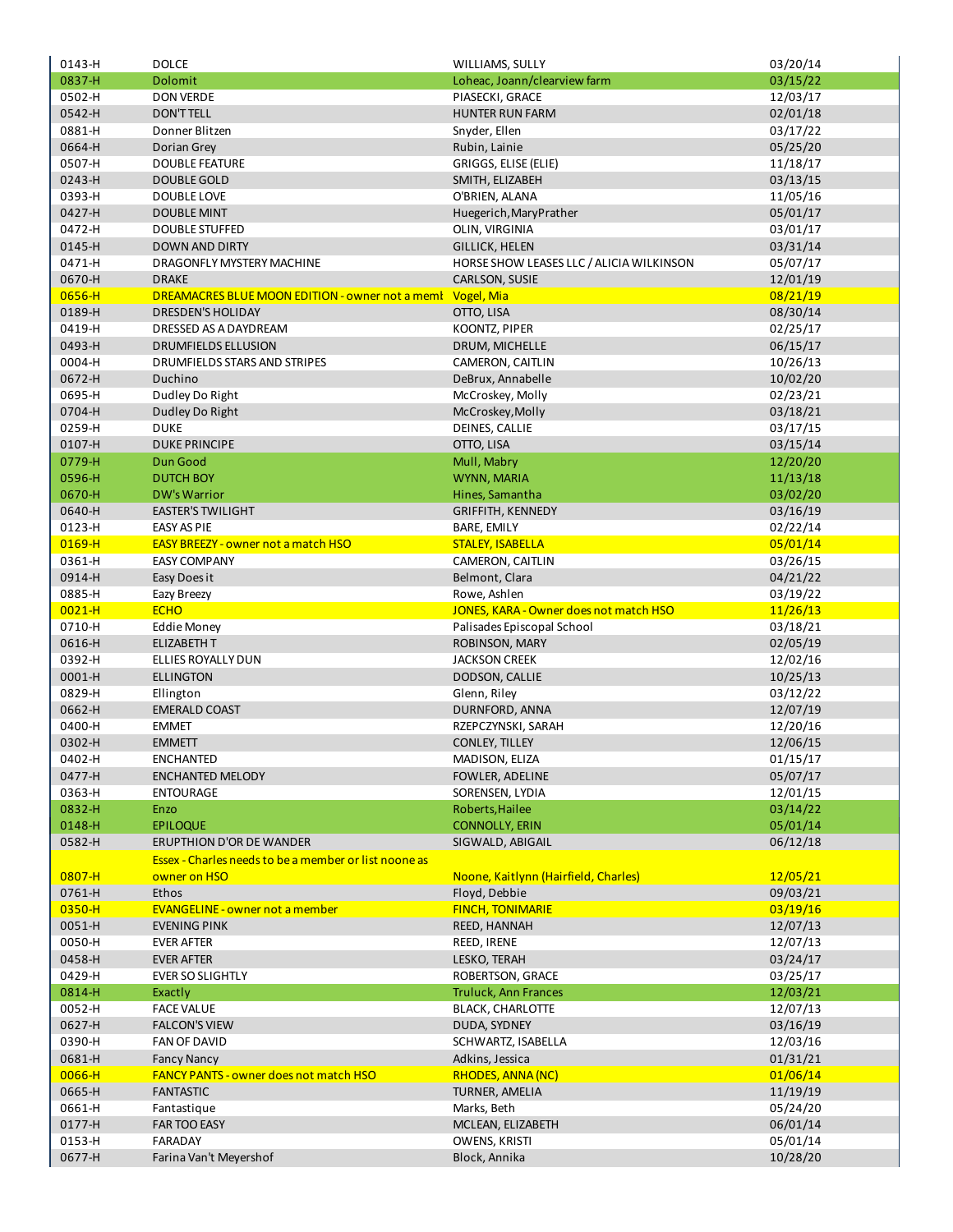| 0143-H           | <b>DOLCE</b>                                          | WILLIAMS, SULLY                           | 03/20/14             |
|------------------|-------------------------------------------------------|-------------------------------------------|----------------------|
| 0837-H           | <b>Dolomit</b>                                        | Loheac, Joann/clearview farm              | 03/15/22             |
| 0502-H           | <b>DON VERDE</b>                                      | PIASECKI, GRACE                           | 12/03/17             |
| 0542-H           | <b>DON'T TELL</b>                                     | <b>HUNTER RUN FARM</b>                    | 02/01/18             |
| 0881-H           | Donner Blitzen                                        | Snyder, Ellen                             | 03/17/22             |
| 0664-H           | Dorian Grey                                           | Rubin, Lainie                             | 05/25/20             |
| 0507-H           | <b>DOUBLE FEATURE</b>                                 | GRIGGS, ELISE (ELIE)                      | 11/18/17             |
| 0243-H           | <b>DOUBLE GOLD</b>                                    | SMITH, ELIZABEH                           | 03/13/15             |
| 0393-H           | <b>DOUBLE LOVE</b>                                    | O'BRIEN, ALANA                            | 11/05/16             |
| 0427-H           | <b>DOUBLE MINT</b>                                    | Huegerich, Mary Prather                   | 05/01/17             |
| 0472-H           | <b>DOUBLE STUFFED</b>                                 | OLIN, VIRGINIA                            | 03/01/17             |
| 0145-H           | <b>DOWN AND DIRTY</b>                                 | <b>GILLICK, HELEN</b>                     | 03/31/14             |
| 0471-H           | DRAGONFLY MYSTERY MACHINE                             | HORSE SHOW LEASES LLC / ALICIA WILKINSON  | 05/07/17             |
| 0670-H           | <b>DRAKE</b>                                          | CARLSON, SUSIE                            | 12/01/19             |
| 0656-H           | DREAMACRES BLUE MOON EDITION - owner not a memi       | Vogel, Mia                                | 08/21/19             |
| 0189-H           | <b>DRESDEN'S HOLIDAY</b>                              | OTTO, LISA                                | 08/30/14             |
| 0419-H           | DRESSED AS A DAYDREAM                                 | KOONTZ, PIPER                             | 02/25/17             |
| 0493-H           | <b>DRUMFIELDS ELLUSION</b>                            | DRUM, MICHELLE                            | 06/15/17             |
| 0004-H<br>0672-H | DRUMFIELDS STARS AND STRIPES<br>Duchino               | CAMERON, CAITLIN<br>DeBrux, Annabelle     | 10/26/13<br>10/02/20 |
| 0695-H           |                                                       | McCroskey, Molly                          | 02/23/21             |
| 0704-H           | Dudley Do Right<br>Dudley Do Right                    | McCroskey, Molly                          | 03/18/21             |
| 0259-H           | <b>DUKE</b>                                           | DEINES, CALLIE                            | 03/17/15             |
| 0107-H           | <b>DUKE PRINCIPE</b>                                  | OTTO, LISA                                | 03/15/14             |
| 0779-H           | Dun Good                                              | Mull, Mabry                               | 12/20/20             |
| 0596-H           | <b>DUTCH BOY</b>                                      | WYNN, MARIA                               | 11/13/18             |
| 0670-H           | <b>DW's Warrior</b>                                   | Hines, Samantha                           | 03/02/20             |
| 0640-H           | <b>EASTER'S TWILIGHT</b>                              | <b>GRIFFITH, KENNEDY</b>                  | 03/16/19             |
| 0123-H           | <b>EASY AS PIE</b>                                    | <b>BARE, EMILY</b>                        | 02/22/14             |
| $0169 - H$       | <b>EASY BREEZY - owner not a match HSO</b>            | <b>STALEY, ISABELLA</b>                   | 05/01/14             |
| 0361-H           | <b>EASY COMPANY</b>                                   | CAMERON, CAITLIN                          | 03/26/15             |
| 0914-H           | Easy Does it                                          | Belmont, Clara                            | 04/21/22             |
| 0885-H           | Eazy Breezy                                           | Rowe, Ashlen                              | 03/19/22             |
| $0021 - H$       | <b>ECHO</b>                                           | JONES, KARA - Owner does not match HSO    | 11/26/13             |
| 0710-H           | <b>Eddie Money</b>                                    | Palisades Episcopal School                | 03/18/21             |
| 0616-H           | <b>ELIZABETH T</b>                                    | ROBINSON, MARY                            | 02/05/19             |
| 0392-H           | ELLIES ROYALLY DUN                                    | <b>JACKSON CREEK</b>                      | 12/02/16             |
| 0001-H           | <b>ELLINGTON</b>                                      | DODSON, CALLIE                            | 10/25/13             |
| 0829-H           | Ellington                                             | Glenn, Riley                              | 03/12/22             |
| 0662-H           | <b>EMERALD COAST</b>                                  | DURNFORD, ANNA                            | 12/07/19             |
| 0400-H           | <b>EMMET</b>                                          | RZEPCZYNSKI, SARAH                        | 12/20/16             |
| 0302-H           | <b>EMMETT</b>                                         | <b>CONLEY, TILLEY</b>                     | 12/06/15             |
| 0402-H           | <b>ENCHANTED</b>                                      | MADISON, ELIZA                            | 01/15/17             |
| 0477-H           | <b>ENCHANTED MELODY</b>                               | FOWLER, ADELINE                           | 05/07/17             |
| 0363-H           | <b>ENTOURAGE</b>                                      | SORENSEN, LYDIA                           | 12/01/15             |
| 0832-H           | Enzo                                                  | Roberts, Hailee                           | 03/14/22             |
| 0148-H<br>0582-H | <b>EPILOQUE</b><br><b>ERUPTHION D'OR DE WANDER</b>    | <b>CONNOLLY, ERIN</b><br>SIGWALD, ABIGAIL | 05/01/14<br>06/12/18 |
|                  | Essex - Charles needs to be a member or list noone as |                                           |                      |
| $0807 - H$       | owner on HSO                                          | Noone, Kaitlynn (Hairfield, Charles)      | 12/05/21             |
| 0761-H           | Ethos                                                 | Floyd, Debbie                             | 09/03/21             |
| 0350-H           | <b>EVANGELINE - owner not a member</b>                | <b>FINCH, TONIMARIE</b>                   | 03/19/16             |
| 0051-H           | <b>EVENING PINK</b>                                   | REED, HANNAH                              | 12/07/13             |
| 0050-H           | <b>EVER AFTER</b>                                     | REED, IRENE                               | 12/07/13             |
| 0458-H           | <b>EVER AFTER</b>                                     | LESKO, TERAH                              | 03/24/17             |
| 0429-H           | <b>EVER SO SLIGHTLY</b>                               | ROBERTSON, GRACE                          | 03/25/17             |
| 0814-H           | Exactly                                               | <b>Truluck, Ann Frances</b>               | 12/03/21             |
| 0052-H           | <b>FACE VALUE</b>                                     | <b>BLACK, CHARLOTTE</b>                   | 12/07/13             |
| 0627-H           | <b>FALCON'S VIEW</b>                                  | DUDA, SYDNEY                              | 03/16/19             |
| 0390-H           | FAN OF DAVID                                          | SCHWARTZ, ISABELLA                        | 12/03/16             |
| 0681-H           | <b>Fancy Nancy</b>                                    | Adkins, Jessica                           | 01/31/21             |
| 0066-H           | FANCY PANTS - owner does not match HSO                | <b>RHODES, ANNA (NC)</b>                  | 01/06/14             |
| 0665-H           | <b>FANTASTIC</b>                                      | TURNER, AMELIA                            | 11/19/19             |
| 0661-H           | Fantastique                                           | Marks, Beth                               | 05/24/20             |
| 0177-H           | FAR TOO EASY                                          | MCLEAN, ELIZABETH                         | 06/01/14             |
| 0153-H           | FARADAY                                               | OWENS, KRISTI                             | 05/01/14             |
| 0677-H           | Farina Van't Meyershof                                | Block, Annika                             | 10/28/20             |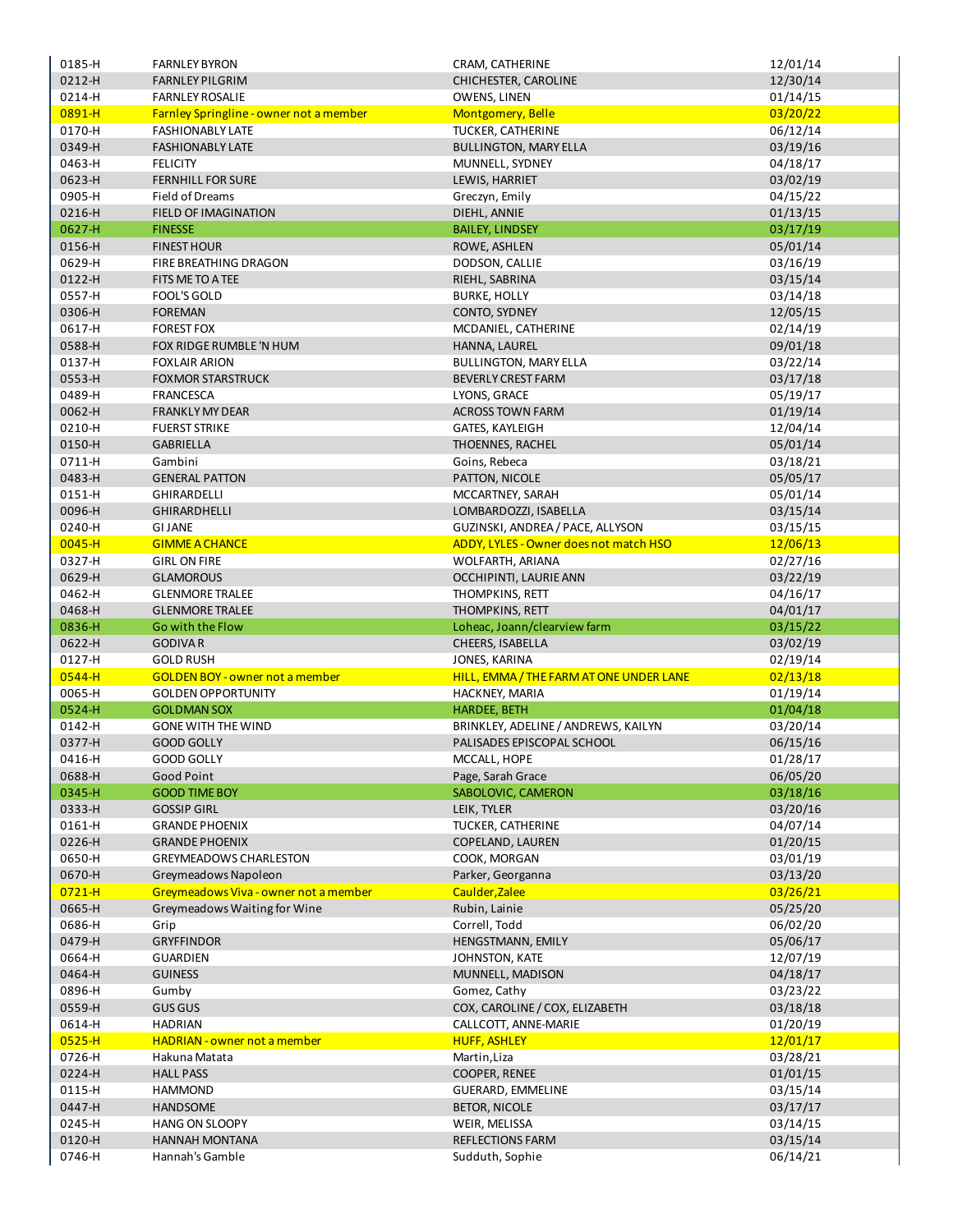| 0185-H           | <b>FARNLEY BYRON</b>                    | CRAM, CATHERINE                            | 12/01/14             |
|------------------|-----------------------------------------|--------------------------------------------|----------------------|
| 0212-H           | <b>FARNLEY PILGRIM</b>                  | CHICHESTER, CAROLINE                       | 12/30/14             |
| 0214-H           | <b>FARNLEY ROSALIE</b>                  | OWENS, LINEN                               | 01/14/15             |
| 0891-H           | Farnley Springline - owner not a member | Montgomery, Belle                          | 03/20/22             |
| 0170-H           |                                         |                                            |                      |
|                  | <b>FASHIONABLY LATE</b>                 | TUCKER, CATHERINE                          | 06/12/14             |
| 0349-H           | <b>FASHIONABLY LATE</b>                 | <b>BULLINGTON, MARY ELLA</b>               | 03/19/16             |
| 0463-H           | <b>FELICITY</b>                         | MUNNELL, SYDNEY                            | 04/18/17             |
| 0623-H           | <b>FERNHILL FOR SURE</b>                | LEWIS, HARRIET                             | 03/02/19             |
| 0905-H           | Field of Dreams                         | Greczyn, Emily                             | 04/15/22             |
| 0216-H           | <b>FIELD OF IMAGINATION</b>             | DIEHL, ANNIE                               | 01/13/15             |
| 0627-H           | <b>FINESSE</b>                          | <b>BAILEY, LINDSEY</b>                     | 03/17/19             |
|                  | <b>FINEST HOUR</b>                      |                                            |                      |
| 0156-H           |                                         | ROWE, ASHLEN                               | 05/01/14             |
| 0629-H           | FIRE BREATHING DRAGON                   | DODSON, CALLIE                             | 03/16/19             |
| 0122-H           | FITS ME TO A TEE                        | RIEHL, SABRINA                             | 03/15/14             |
| 0557-H           | <b>FOOL'S GOLD</b>                      | <b>BURKE, HOLLY</b>                        | 03/14/18             |
| 0306-H           | <b>FOREMAN</b>                          | CONTO, SYDNEY                              | 12/05/15             |
| 0617-H           | <b>FOREST FOX</b>                       | MCDANIEL, CATHERINE                        | 02/14/19             |
| 0588-H           | FOX RIDGE RUMBLE 'N HUM                 | HANNA, LAUREL                              | 09/01/18             |
| 0137-H           | <b>FOXLAIR ARION</b>                    | <b>BULLINGTON, MARY ELLA</b>               | 03/22/14             |
|                  |                                         |                                            |                      |
| 0553-H           | <b>FOXMOR STARSTRUCK</b>                | <b>BEVERLY CREST FARM</b>                  | 03/17/18             |
| 0489-H           | <b>FRANCESCA</b>                        | LYONS, GRACE                               | 05/19/17             |
| 0062-H           | <b>FRANKLY MY DEAR</b>                  | <b>ACROSS TOWN FARM</b>                    | 01/19/14             |
| 0210-H           | <b>FUERST STRIKE</b>                    | GATES, KAYLEIGH                            | 12/04/14             |
| 0150-H           | <b>GABRIELLA</b>                        | THOENNES, RACHEL                           | 05/01/14             |
| 0711-H           | Gambini                                 | Goins, Rebeca                              | 03/18/21             |
| 0483-H           | <b>GENERAL PATTON</b>                   | PATTON, NICOLE                             | 05/05/17             |
| 0151-H           | <b>GHIRARDELLI</b>                      |                                            |                      |
|                  |                                         | MCCARTNEY, SARAH                           | 05/01/14             |
| 0096-H           | <b>GHIRARDHELLI</b>                     | LOMBARDOZZI, ISABELLA                      | 03/15/14             |
| 0240-H           | <b>GI JANE</b>                          | GUZINSKI, ANDREA / PACE, ALLYSON           | 03/15/15             |
| $0045 - H$       | <b>GIMME A CHANCE</b>                   | ADDY, LYLES - Owner does not match HSO     | 12/06/13             |
| 0327-H           | <b>GIRL ON FIRE</b>                     | WOLFARTH, ARIANA                           | 02/27/16             |
| 0629-H           | <b>GLAMOROUS</b>                        | OCCHIPINTI, LAURIE ANN                     | 03/22/19             |
| 0462-H           | <b>GLENMORE TRALEE</b>                  | THOMPKINS, RETT                            | 04/16/17             |
|                  |                                         |                                            |                      |
|                  |                                         |                                            |                      |
| 0468-H           | <b>GLENMORE TRALEE</b>                  | THOMPKINS, RETT                            | 04/01/17             |
| 0836-H           | Go with the Flow                        | Loheac, Joann/clearview farm               | 03/15/22             |
| 0622-H           | <b>GODIVAR</b>                          | CHEERS, ISABELLA                           | 03/02/19             |
| 0127-H           | <b>GOLD RUSH</b>                        | JONES, KARINA                              | 02/19/14             |
| 0544-H           | <b>GOLDEN BOY - owner not a member</b>  | HILL, EMMA / THE FARM AT ONE UNDER LANE    | 02/13/18             |
| 0065-H           | <b>GOLDEN OPPORTUNITY</b>               | HACKNEY, MARIA                             | 01/19/14             |
| 0524-H           | <b>GOLDMAN SOX</b>                      |                                            |                      |
|                  |                                         | <b>HARDEE, BETH</b>                        | 01/04/18             |
| 0142-H           | <b>GONE WITH THE WIND</b>               | BRINKLEY, ADELINE / ANDREWS, KAILYN        | 03/20/14             |
| 0377-H           | <b>GOOD GOLLY</b>                       | PALISADES EPISCOPAL SCHOOL                 | 06/15/16             |
| 0416-H           | <b>GOOD GOLLY</b>                       | MCCALL, HOPE                               | 01/28/17             |
| 0688-H           | Good Point                              | Page, Sarah Grace                          | 06/05/20             |
| 0345-H           | <b>GOOD TIME BOY</b>                    | SABOLOVIC, CAMERON                         | 03/18/16             |
| 0333-H           | <b>GOSSIP GIRL</b>                      | LEIK, TYLER                                | 03/20/16             |
| 0161-H           | <b>GRANDE PHOENIX</b>                   | TUCKER, CATHERINE                          | 04/07/14             |
| 0226-H           | <b>GRANDE PHOENIX</b>                   | COPELAND, LAUREN                           | 01/20/15             |
| 0650-H           | <b>GREYMEADOWS CHARLESTON</b>           | COOK, MORGAN                               |                      |
|                  |                                         |                                            | 03/01/19             |
| 0670-H           | Greymeadows Napoleon                    | Parker, Georganna                          | 03/13/20             |
| $0721 - H$       | Greymeadows Viva - owner not a member   | Caulder, Zalee                             | 03/26/21             |
| 0665-H           | Greymeadows Waiting for Wine            | Rubin, Lainie                              | 05/25/20             |
| 0686-H           | Grip                                    | Correll, Todd                              | 06/02/20             |
| 0479-H           | <b>GRYFFINDOR</b>                       | HENGSTMANN, EMILY                          | 05/06/17             |
| 0664-H           | <b>GUARDIEN</b>                         | JOHNSTON, KATE                             | 12/07/19             |
| 0464-H           | <b>GUINESS</b>                          | MUNNELL, MADISON                           | 04/18/17             |
| 0896-H           | Gumby                                   | Gomez, Cathy                               |                      |
|                  |                                         |                                            | 03/23/22             |
| 0559-H           | <b>GUS GUS</b>                          | COX, CAROLINE / COX, ELIZABETH             | 03/18/18             |
| 0614-H           | <b>HADRIAN</b>                          | CALLCOTT, ANNE-MARIE                       | 01/20/19             |
| $0525 - H$       | <b>HADRIAN - owner not a member</b>     | <b>HUFF, ASHLEY</b>                        | 12/01/17             |
| 0726-H           | Hakuna Matata                           | Martin, Liza                               | 03/28/21             |
| 0224-H           | <b>HALL PASS</b>                        | <b>COOPER, RENEE</b>                       | 01/01/15             |
| 0115-H           | <b>HAMMOND</b>                          | <b>GUERARD, EMMELINE</b>                   | 03/15/14             |
| 0447-H           | <b>HANDSOME</b>                         | <b>BETOR, NICOLE</b>                       | 03/17/17             |
|                  |                                         |                                            |                      |
| 0245-H           | <b>HANG ON SLOOPY</b>                   | WEIR, MELISSA                              | 03/14/15             |
| 0120-H<br>0746-H | HANNAH MONTANA<br>Hannah's Gamble       | <b>REFLECTIONS FARM</b><br>Sudduth, Sophie | 03/15/14<br>06/14/21 |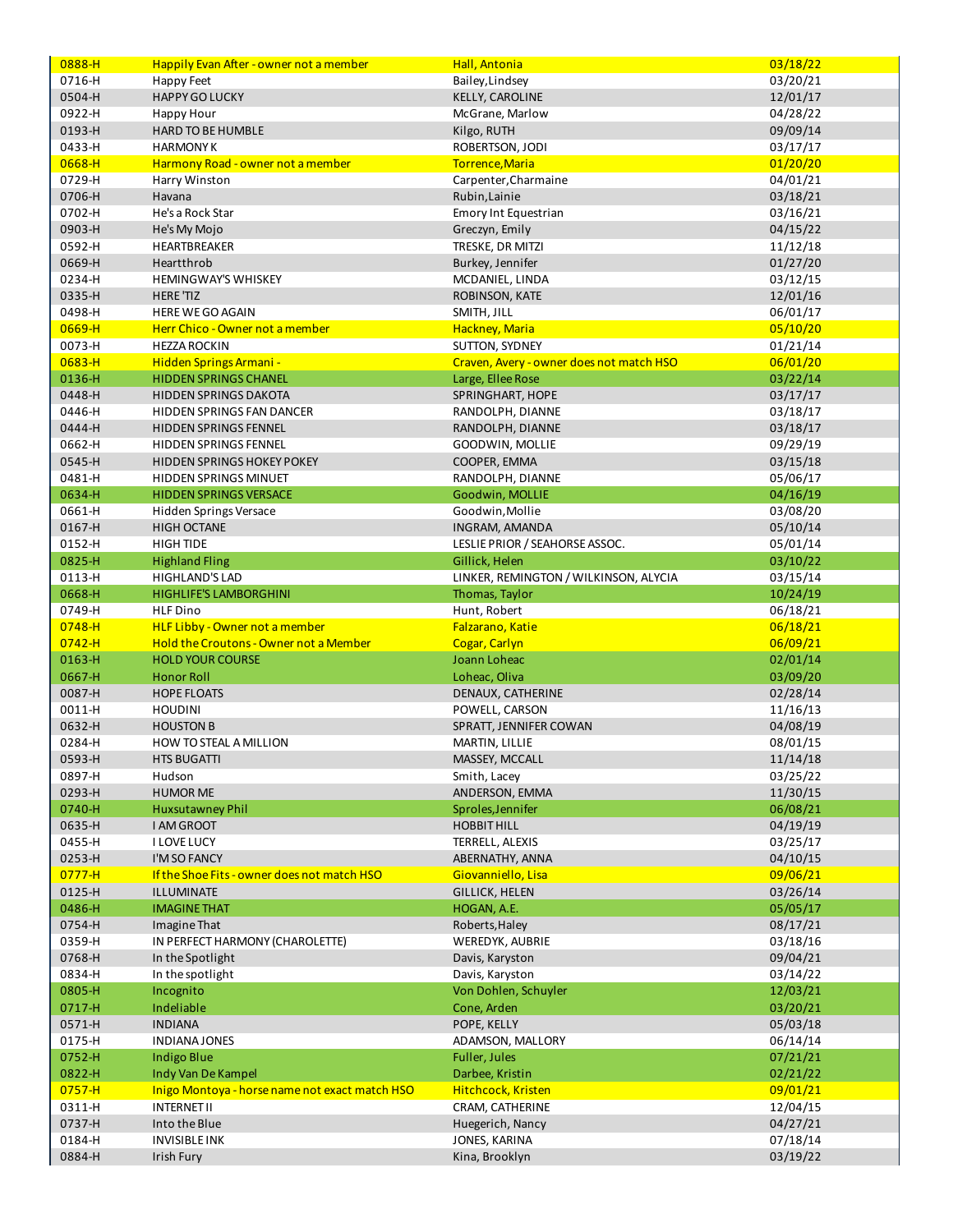| 0888-H           | Happily Evan After - owner not a member        | Hall, Antonia                            | 03/18/22             |
|------------------|------------------------------------------------|------------------------------------------|----------------------|
| 0716-H           | Happy Feet                                     | Bailey, Lindsey                          | 03/20/21             |
| 0504-H           | <b>HAPPY GO LUCKY</b>                          | KELLY, CAROLINE                          | 12/01/17             |
| 0922-H           | Happy Hour                                     | McGrane, Marlow                          | 04/28/22             |
| 0193-H           | HARD TO BE HUMBLE                              | Kilgo, RUTH                              | 09/09/14             |
| 0433-H           | <b>HARMONY K</b>                               | ROBERTSON, JODI                          | 03/17/17             |
| 0668-H           | Harmony Road - owner not a member              | Torrence, Maria                          | 01/20/20             |
| 0729-H           | Harry Winston                                  | Carpenter, Charmaine                     | 04/01/21             |
|                  |                                                |                                          |                      |
| 0706-H           | Havana                                         | Rubin, Lainie                            | 03/18/21             |
| 0702-H           | He's a Rock Star                               | Emory Int Equestrian                     | 03/16/21             |
| 0903-H           | He's My Mojo                                   | Greczyn, Emily                           | 04/15/22             |
| 0592-H           | <b>HEARTBREAKER</b>                            | TRESKE, DR MITZI                         | 11/12/18             |
| 0669-H           | Heartthrob                                     | Burkey, Jennifer                         | 01/27/20             |
| 0234-H           | <b>HEMINGWAY'S WHISKEY</b>                     | MCDANIEL, LINDA                          | 03/12/15             |
| 0335-H           | <b>HERE 'TIZ</b>                               | ROBINSON, KATE                           | 12/01/16             |
| 0498-H           | <b>HERE WE GO AGAIN</b>                        | SMITH, JILL                              | 06/01/17             |
| 0669-H           | Herr Chico - Owner not a member                | Hackney, Maria                           | 05/10/20             |
| 0073-H           | <b>HEZZA ROCKIN</b>                            | SUTTON, SYDNEY                           | 01/21/14             |
| $0683 - H$       | Hidden Springs Armani -                        | Craven, Avery - owner does not match HSO | 06/01/20             |
| 0136-H           | <b>HIDDEN SPRINGS CHANEL</b>                   | Large, Ellee Rose                        | 03/22/14             |
|                  |                                                |                                          |                      |
| 0448-H           | <b>HIDDEN SPRINGS DAKOTA</b>                   | SPRINGHART, HOPE                         | 03/17/17             |
| 0446-H           | HIDDEN SPRINGS FAN DANCER                      | RANDOLPH, DIANNE                         | 03/18/17             |
| 0444-H           | <b>HIDDEN SPRINGS FENNEL</b>                   | RANDOLPH, DIANNE                         | 03/18/17             |
| 0662-H           | HIDDEN SPRINGS FENNEL                          | <b>GOODWIN, MOLLIE</b>                   | 09/29/19             |
| 0545-H           | <b>HIDDEN SPRINGS HOKEY POKEY</b>              | COOPER, EMMA                             | 03/15/18             |
| 0481-H           | <b>HIDDEN SPRINGS MINUET</b>                   | RANDOLPH, DIANNE                         | 05/06/17             |
| 0634-H           | <b>HIDDEN SPRINGS VERSACE</b>                  | Goodwin, MOLLIE                          | 04/16/19             |
| 0661-H           | Hidden Springs Versace                         | Goodwin, Mollie                          | 03/08/20             |
| 0167-H           | <b>HIGH OCTANE</b>                             | INGRAM, AMANDA                           | 05/10/14             |
| 0152-H           | <b>HIGH TIDE</b>                               | LESLIE PRIOR / SEAHORSE ASSOC.           | 05/01/14             |
| 0825-H           | <b>Highland Fling</b>                          | Gillick, Helen                           | 03/10/22             |
| 0113-H           | HIGHLAND'S LAD                                 | LINKER, REMINGTON / WILKINSON, ALYCIA    |                      |
|                  |                                                |                                          | 03/15/14             |
| 0668-H           | <b>HIGHLIFE'S LAMBORGHINI</b>                  | Thomas, Taylor                           | 10/24/19             |
| 0749-H           | <b>HLF Dino</b>                                | Hunt, Robert                             | 06/18/21             |
| 0748-H           | HLF Libby - Owner not a member                 | Falzarano, Katie                         | 06/18/21             |
|                  |                                                |                                          |                      |
| $0742 - H$       | Hold the Croutons - Owner not a Member         | <b>Cogar, Carlyn</b>                     | 06/09/21             |
| $0163 - H$       | <b>HOLD YOUR COURSE</b>                        | Joann Loheac                             | 02/01/14             |
| 0667-H           | <b>Honor Roll</b>                              | Loheac, Oliva                            | 03/09/20             |
| 0087-H           | <b>HOPE FLOATS</b>                             | DENAUX, CATHERINE                        |                      |
|                  | <b>HOUDINI</b>                                 | POWELL, CARSON                           | 02/28/14             |
| 0011-H           |                                                |                                          | 11/16/13             |
| 0632-H           | <b>HOUSTON B</b>                               | SPRATT, JENNIFER COWAN                   | 04/08/19             |
| 0284-H           | HOW TO STEAL A MILLION                         | MARTIN, LILLIE                           | 08/01/15             |
| 0593-H           | <b>HTS BUGATTI</b>                             | MASSEY, MCCALL                           | 11/14/18             |
| 0897-H           | Hudson                                         | Smith, Lacey                             | 03/25/22             |
| 0293-H           | <b>HUMOR ME</b>                                | ANDERSON, EMMA                           | 11/30/15             |
| 0740-H           | <b>Huxsutawney Phil</b>                        | Sproles, Jennifer                        | 06/08/21             |
| 0635-H           | I AM GROOT                                     | <b>HOBBIT HILL</b>                       | 04/19/19             |
| 0455-H           | <b>I LOVE LUCY</b>                             | TERRELL, ALEXIS                          | 03/25/17             |
| 0253-H           | I'M SO FANCY                                   | ABERNATHY, ANNA                          | 04/10/15             |
| $0777 - H$       | If the Shoe Fits - owner does not match HSO    | Giovanniello, Lisa                       | 09/06/21             |
| 0125-H           | ILLUMINATE                                     |                                          |                      |
|                  | <b>IMAGINE THAT</b>                            | <b>GILLICK, HELEN</b>                    | 03/26/14             |
| 0486-H           |                                                | HOGAN, A.E.                              | 05/05/17             |
| 0754-H           | Imagine That                                   | Roberts, Haley                           | 08/17/21             |
| 0359-H           | IN PERFECT HARMONY (CHAROLETTE)                | WEREDYK, AUBRIE                          | 03/18/16             |
| 0768-H           | In the Spotlight                               | Davis, Karyston                          | 09/04/21             |
| 0834-H           | In the spotlight                               | Davis, Karyston                          | 03/14/22             |
| 0805-H           | Incognito                                      | Von Dohlen, Schuyler                     | 12/03/21             |
| 0717-H           | Indeliable                                     | Cone, Arden                              | 03/20/21             |
| 0571-H           | <b>INDIANA</b>                                 | POPE, KELLY                              | 05/03/18             |
| 0175-H           | INDIANA JONES                                  | ADAMSON, MALLORY                         | 06/14/14             |
| 0752-H           | <b>Indigo Blue</b>                             | Fuller, Jules                            | 07/21/21             |
| 0822-H           | Indy Van De Kampel                             | Darbee, Kristin                          | 02/21/22             |
| $0757 - H$       | Inigo Montoya - horse name not exact match HSO | Hitchcock, Kristen                       | 09/01/21             |
|                  |                                                |                                          |                      |
| 0311-H           | <b>INTERNET II</b>                             | CRAM, CATHERINE                          | 12/04/15             |
| 0737-H           | Into the Blue                                  | Huegerich, Nancy                         | 04/27/21             |
| 0184-H<br>0884-H | <b>INVISIBLE INK</b><br>Irish Fury             | JONES, KARINA<br>Kina, Brooklyn          | 07/18/14<br>03/19/22 |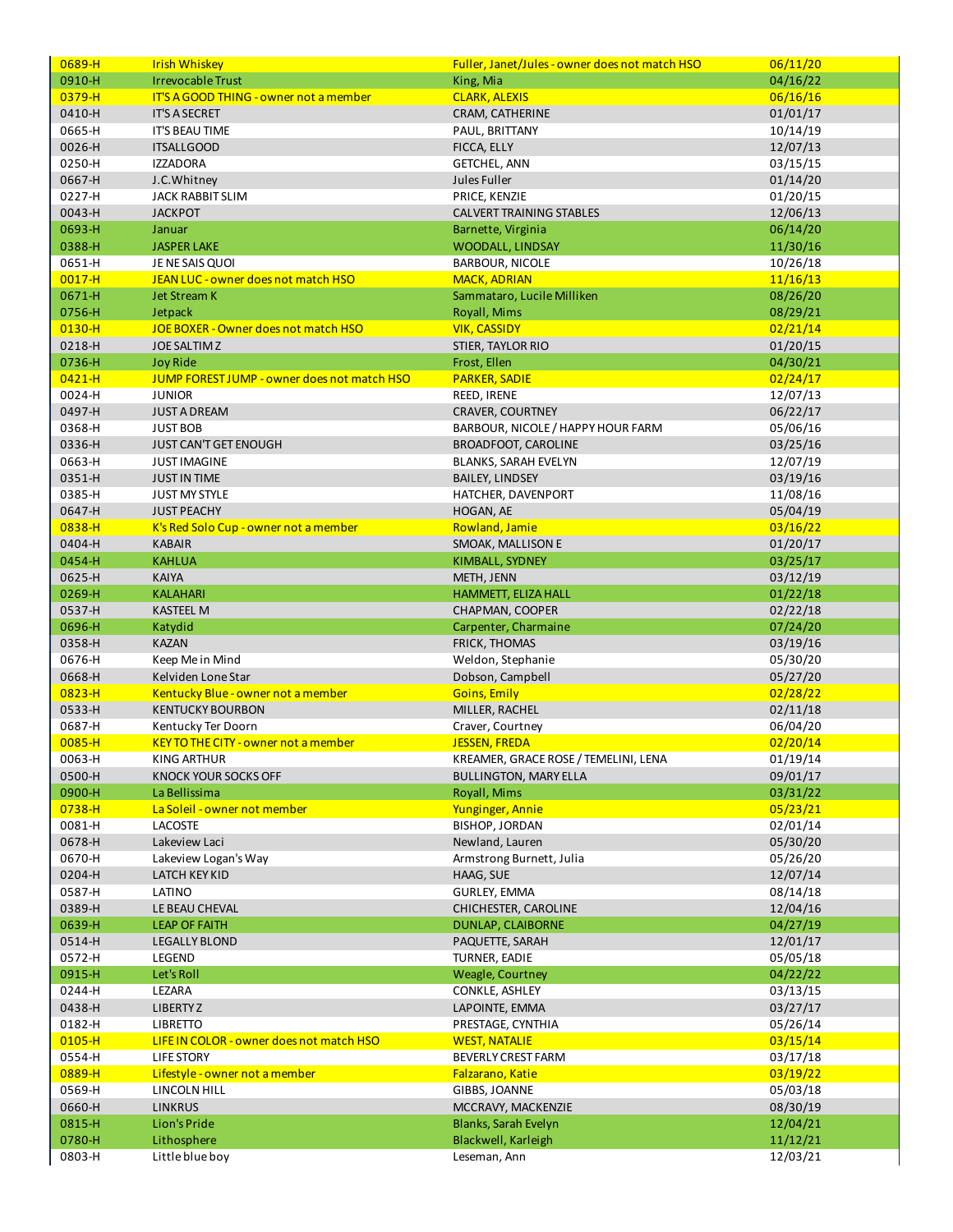| 0689-H           | <b>Irish Whiskey</b>                               | <b>Fuller, Janet/Jules - owner does not match HSO</b> | 06/11/20             |
|------------------|----------------------------------------------------|-------------------------------------------------------|----------------------|
| 0910-H           | <b>Irrevocable Trust</b>                           | King, Mia                                             | 04/16/22             |
| 0379-H           | <b>IT'S A GOOD THING - owner not a member</b>      | <b>CLARK, ALEXIS</b>                                  | 06/16/16             |
| 0410-H           | <b>IT'S A SECRET</b>                               | CRAM, CATHERINE                                       | 01/01/17             |
|                  |                                                    |                                                       |                      |
| 0665-H           | IT'S BEAU TIME                                     | PAUL, BRITTANY                                        | 10/14/19             |
| 0026-H           | <b>ITSALLGOOD</b>                                  | FICCA, ELLY                                           | 12/07/13             |
| 0250-H           | <b>IZZADORA</b>                                    | <b>GETCHEL, ANN</b>                                   | 03/15/15             |
| 0667-H           | J.C.Whitney                                        | Jules Fuller                                          | 01/14/20             |
| 0227-H           | <b>JACK RABBIT SLIM</b>                            | PRICE, KENZIE                                         | 01/20/15             |
| 0043-H           | <b>JACKPOT</b>                                     | <b>CALVERT TRAINING STABLES</b>                       | 12/06/13             |
| 0693-H           | Januar                                             | Barnette, Virginia                                    | 06/14/20             |
|                  |                                                    |                                                       |                      |
| 0388-H           | <b>JASPER LAKE</b>                                 | WOODALL, LINDSAY                                      | 11/30/16             |
| 0651-H           | JE NE SAIS QUOI                                    | <b>BARBOUR, NICOLE</b>                                | 10/26/18             |
| $0017 - H$       | JEAN LUC - owner does not match HSO                | <b>MACK, ADRIAN</b>                                   | 11/16/13             |
| 0671-H           | <b>Jet Stream K</b>                                | Sammataro, Lucile Milliken                            | 08/26/20             |
| 0756-H           | Jetpack                                            | Royall, Mims                                          | 08/29/21             |
| $0130 - H$       | JOE BOXER - Owner does not match HSO               | <b>VIK, CASSIDY</b>                                   | 02/21/14             |
| 0218-H           | <b>JOE SALTIM Z</b>                                | STIER, TAYLOR RIO                                     | 01/20/15             |
| 0736-H           |                                                    |                                                       |                      |
|                  | <b>Joy Ride</b>                                    | Frost, Ellen                                          | 04/30/21             |
| $0421 - H$       | <b>JUMP FOREST JUMP - owner does not match HSO</b> | <b>PARKER, SADIE</b>                                  | 02/24/17             |
| 0024-H           | <b>JUNIOR</b>                                      | REED, IRENE                                           | 12/07/13             |
| 0497-H           | <b>JUST A DREAM</b>                                | <b>CRAVER, COURTNEY</b>                               | 06/22/17             |
| 0368-H           | <b>JUST BOB</b>                                    | BARBOUR, NICOLE / HAPPY HOUR FARM                     | 05/06/16             |
| 0336-H           | <b>JUST CAN'T GET ENOUGH</b>                       | <b>BROADFOOT, CAROLINE</b>                            | 03/25/16             |
| 0663-H           | <b>JUST IMAGINE</b>                                | <b>BLANKS, SARAH EVELYN</b>                           | 12/07/19             |
| 0351-H           | <b>JUST IN TIME</b>                                | <b>BAILEY, LINDSEY</b>                                |                      |
|                  |                                                    |                                                       | 03/19/16             |
| 0385-H           | <b>JUST MY STYLE</b>                               | HATCHER, DAVENPORT                                    | 11/08/16             |
| 0647-H           | <b>JUST PEACHY</b>                                 | HOGAN, AE                                             | 05/04/19             |
| 0838-H           | K's Red Solo Cup - owner not a member              | Rowland, Jamie                                        | 03/16/22             |
| 0404-H           | <b>KABAIR</b>                                      | SMOAK, MALLISON E                                     | 01/20/17             |
| 0454-H           | <b>KAHLUA</b>                                      | KIMBALL, SYDNEY                                       | 03/25/17             |
| 0625-H           | <b>KAIYA</b>                                       | METH, JENN                                            | 03/12/19             |
| 0269-H           | <b>KALAHARI</b>                                    | HAMMETT, ELIZA HALL                                   | 01/22/18             |
|                  |                                                    |                                                       |                      |
|                  |                                                    |                                                       |                      |
| 0537-H           | <b>KASTEEL M</b>                                   | CHAPMAN, COOPER                                       | 02/22/18             |
| 0696-H           | Katydid                                            | Carpenter, Charmaine                                  | 07/24/20             |
| 0358-H           | <b>KAZAN</b>                                       | <b>FRICK, THOMAS</b>                                  | 03/19/16             |
| 0676-H           | Keep Me in Mind                                    | Weldon, Stephanie                                     | 05/30/20             |
| 0668-H           | Kelviden Lone Star                                 |                                                       |                      |
|                  |                                                    | Dobson, Campbell                                      | 05/27/20             |
| $0823 - H$       | Kentucky Blue - owner not a member                 | <b>Goins, Emily</b>                                   | 02/28/22             |
| 0533-H           | <b>KENTUCKY BOURBON</b>                            | MILLER, RACHEL                                        | 02/11/18             |
| 0687-H           | Kentucky Ter Doorn                                 | Craver, Courtney                                      | 06/04/20             |
| $0085 - H$       | <b>KEY TO THE CITY - owner not a member</b>        | <b>JESSEN, FREDA</b>                                  | 02/20/14             |
| 0063-H           | KING ARTHUR                                        | KREAMER, GRACE ROSE / TEMELINI, LENA                  | 01/19/14             |
| 0500-H           | KNOCK YOUR SOCKS OFF                               | <b>BULLINGTON, MARY ELLA</b>                          | 09/01/17             |
| 0900-H           | La Bellissima                                      | Royall, Mims                                          | 03/31/22             |
| $0738 - H$       | La Soleil - owner not member                       | Yunginger, Annie                                      | 05/23/21             |
|                  | <b>LACOSTE</b>                                     |                                                       |                      |
| 0081-H           |                                                    | BISHOP, JORDAN                                        | 02/01/14             |
| 0678-H           | Lakeview Laci                                      | Newland, Lauren                                       | 05/30/20             |
| 0670-H           | Lakeview Logan's Way                               | Armstrong Burnett, Julia                              | 05/26/20             |
| 0204-H           | <b>LATCH KEY KID</b>                               | HAAG, SUE                                             | 12/07/14             |
| 0587-H           | LATINO                                             | <b>GURLEY, EMMA</b>                                   | 08/14/18             |
| 0389-H           | LE BEAU CHEVAL                                     | CHICHESTER, CAROLINE                                  | 12/04/16             |
| 0639-H           | <b>LEAP OF FAITH</b>                               | DUNLAP, CLAIBORNE                                     | 04/27/19             |
| 0514-H           | <b>LEGALLY BLOND</b>                               | PAQUETTE, SARAH                                       | 12/01/17             |
|                  | LEGEND                                             |                                                       |                      |
| 0572-H           |                                                    | TURNER, EADIE                                         | 05/05/18             |
| 0915-H           | Let's Roll                                         | Weagle, Courtney                                      | 04/22/22             |
| 0244-H           | LEZARA                                             | CONKLE, ASHLEY                                        | 03/13/15             |
| 0438-H           | <b>LIBERTYZ</b>                                    | LAPOINTE, EMMA                                        | 03/27/17             |
| 0182-H           | <b>LIBRETTO</b>                                    | PRESTAGE, CYNTHIA                                     | 05/26/14             |
| $0105 - H$       | LIFE IN COLOR - owner does not match HSO           | <b>WEST, NATALIE</b>                                  | 03/15/14             |
| 0554-H           | LIFE STORY                                         | <b>BEVERLY CREST FARM</b>                             | 03/17/18             |
|                  | Lifestyle - owner not a member                     | Falzarano, Katie                                      |                      |
| 0889-H           |                                                    |                                                       | 03/19/22             |
| 0569-H           | LINCOLN HILL                                       | GIBBS, JOANNE                                         | 05/03/18             |
| 0660-H           | <b>LINKRUS</b>                                     | MCCRAVY, MACKENZIE                                    | 08/30/19             |
| 0815-H           | Lion's Pride                                       | Blanks, Sarah Evelyn                                  | 12/04/21             |
| 0780-H<br>0803-H | Lithosphere<br>Little blue boy                     | Blackwell, Karleigh<br>Leseman, Ann                   | 11/12/21<br>12/03/21 |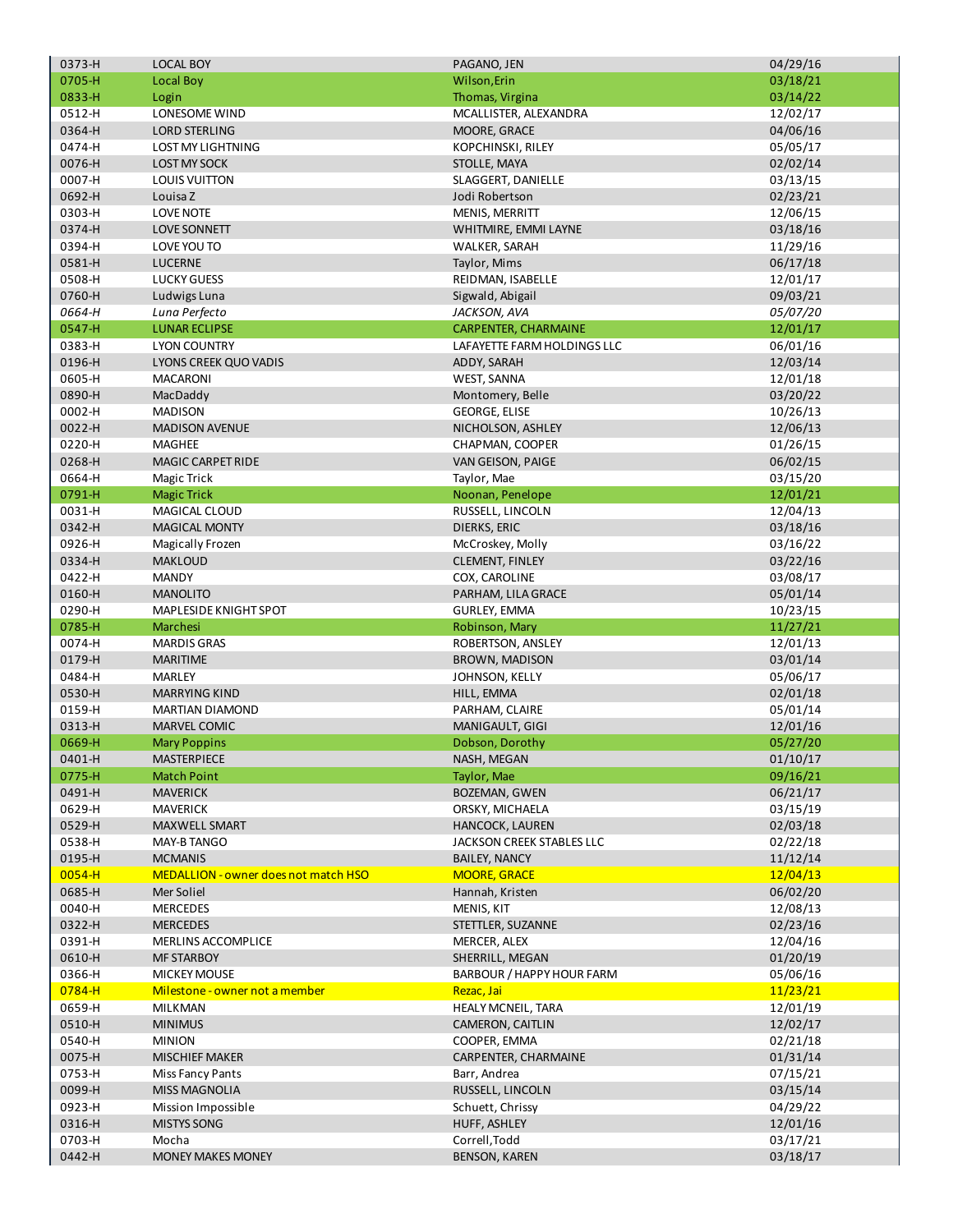| 0373-H     | <b>LOCAL BOY</b>                            | PAGANO, JEN                           | 04/29/16             |
|------------|---------------------------------------------|---------------------------------------|----------------------|
| 0705-H     | Local Boy                                   | Wilson, Erin                          | 03/18/21             |
| 0833-H     | Login                                       | Thomas, Virgina                       | 03/14/22             |
| 0512-H     | LONESOME WIND                               | MCALLISTER, ALEXANDRA                 | 12/02/17             |
| 0364-H     | <b>LORD STERLING</b>                        | MOORE, GRACE                          | 04/06/16             |
| 0474-H     | <b>LOST MY LIGHTNING</b>                    | KOPCHINSKI, RILEY                     | 05/05/17             |
| 0076-H     | <b>LOST MY SOCK</b>                         | STOLLE, MAYA                          | 02/02/14             |
| 0007-H     | <b>LOUIS VUITTON</b>                        | SLAGGERT, DANIELLE                    | 03/13/15             |
| 0692-H     |                                             |                                       |                      |
|            | Louisa Z                                    | Jodi Robertson                        | 02/23/21             |
| 0303-H     | <b>LOVE NOTE</b>                            | <b>MENIS, MERRITT</b>                 | 12/06/15             |
| 0374-H     | <b>LOVE SONNETT</b>                         | WHITMIRE, EMMI LAYNE                  | 03/18/16             |
| 0394-H     | LOVE YOU TO                                 | WALKER, SARAH                         | 11/29/16             |
| 0581-H     | <b>LUCERNE</b>                              | Taylor, Mims                          | 06/17/18             |
| 0508-H     | <b>LUCKY GUESS</b>                          | REIDMAN, ISABELLE                     | 12/01/17             |
| 0760-H     | Ludwigs Luna                                | Sigwald, Abigail                      | 09/03/21             |
| 0664-H     | Luna Perfecto                               | JACKSON, AVA                          | 05/07/20             |
| 0547-H     | <b>LUNAR ECLIPSE</b>                        | <b>CARPENTER, CHARMAINE</b>           | 12/01/17             |
| 0383-H     | <b>LYON COUNTRY</b>                         | LAFAYETTE FARM HOLDINGS LLC           | 06/01/16             |
| 0196-H     | LYONS CREEK QUO VADIS                       | ADDY, SARAH                           | 12/03/14             |
| 0605-H     | <b>MACARONI</b>                             | <b>WEST, SANNA</b>                    | 12/01/18             |
| 0890-H     | MacDaddy                                    | Montomery, Belle                      | 03/20/22             |
| 0002-H     | <b>MADISON</b>                              | <b>GEORGE, ELISE</b>                  | 10/26/13             |
|            | <b>MADISON AVENUE</b>                       |                                       |                      |
| 0022-H     |                                             | NICHOLSON, ASHLEY                     | 12/06/13             |
| 0220-H     | <b>MAGHEE</b>                               | CHAPMAN, COOPER                       | 01/26/15             |
| 0268-H     | MAGIC CARPET RIDE                           | VAN GEISON, PAIGE                     | 06/02/15             |
| 0664-H     | <b>Magic Trick</b>                          | Taylor, Mae                           | 03/15/20             |
| 0791-H     | <b>Magic Trick</b>                          | Noonan, Penelope                      | 12/01/21             |
| 0031-H     | MAGICAL CLOUD                               | RUSSELL, LINCOLN                      | 12/04/13             |
| 0342-H     | <b>MAGICAL MONTY</b>                        | DIERKS, ERIC                          | 03/18/16             |
| 0926-H     | Magically Frozen                            | McCroskey, Molly                      | 03/16/22             |
| 0334-H     | <b>MAKLOUD</b>                              | CLEMENT, FINLEY                       | 03/22/16             |
| 0422-H     | <b>MANDY</b>                                | COX, CAROLINE                         | 03/08/17             |
| 0160-H     | <b>MANOLITO</b>                             | PARHAM, LILA GRACE                    | 05/01/14             |
| 0290-H     | MAPLESIDE KNIGHT SPOT                       | GURLEY, EMMA                          | 10/23/15             |
| 0785-H     | Marchesi                                    | Robinson, Mary                        | 11/27/21             |
| 0074-H     | <b>MARDIS GRAS</b>                          | ROBERTSON, ANSLEY                     | 12/01/13             |
| 0179-H     | <b>MARITIME</b>                             | <b>BROWN, MADISON</b>                 | 03/01/14             |
| 0484-H     | <b>MARLEY</b>                               | JOHNSON, KELLY                        |                      |
|            |                                             |                                       | 05/06/17             |
| 0530-H     | <b>MARRYING KIND</b>                        | HILL, EMMA                            | 02/01/18             |
| 0159-H     | <b>MARTIAN DIAMOND</b>                      | PARHAM, CLAIRE                        | 05/01/14             |
| 0313-H     | MARVEL COMIC                                | MANIGAULT, GIGI                       | 12/01/16             |
| 0669-H     | <b>Mary Poppins</b>                         | Dobson, Dorothy                       | 05/27/20             |
| 0401-H     | MASTERPIECE                                 | NASH, MEGAN                           | 01/10/17             |
| 0775-H     | <b>Match Point</b>                          | Taylor, Mae                           | 09/16/21             |
| 0491-H     | <b>MAVERICK</b>                             | <b>BOZEMAN, GWEN</b>                  | 06/21/17             |
| 0629-H     | <b>MAVERICK</b>                             | ORSKY, MICHAELA                       | 03/15/19             |
| 0529-H     | MAXWELL SMART                               | HANCOCK, LAUREN                       | 02/03/18             |
| 0538-H     | MAY-B TANGO                                 | JACKSON CREEK STABLES LLC             | 02/22/18             |
| 0195-H     | <b>MCMANIS</b>                              | <b>BAILEY, NANCY</b>                  | 11/12/14             |
| $0054 - H$ | <b>MEDALLION - owner does not match HSO</b> | <b>MOORE, GRACE</b>                   | 12/04/13             |
| 0685-H     | Mer Soliel                                  | Hannah, Kristen                       | 06/02/20             |
| 0040-H     | <b>MERCEDES</b>                             | MENIS, KIT                            | 12/08/13             |
| 0322-H     | <b>MERCEDES</b>                             | STETTLER, SUZANNE                     | 02/23/16             |
|            |                                             |                                       |                      |
| 0391-H     | MERLINS ACCOMPLICE                          | MERCER, ALEX                          | 12/04/16             |
| 0610-H     | <b>MF STARBOY</b>                           | SHERRILL, MEGAN                       | 01/20/19             |
| 0366-H     | <b>MICKEY MOUSE</b>                         | BARBOUR / HAPPY HOUR FARM             | 05/06/16             |
| 0784-H     | Milestone - owner not a member              | Rezac, Jai                            | 11/23/21             |
| 0659-H     | MILKMAN                                     | <b>HEALY MCNEIL, TARA</b>             | 12/01/19             |
| 0510-H     | <b>MINIMUS</b>                              | CAMERON, CAITLIN                      | 12/02/17             |
| 0540-H     | <b>MINION</b>                               | COOPER, EMMA                          | 02/21/18             |
| 0075-H     | <b>MISCHIEF MAKER</b>                       | CARPENTER, CHARMAINE                  | 01/31/14             |
| 0753-H     | Miss Fancy Pants                            | Barr, Andrea                          | 07/15/21             |
| 0099-H     | <b>MISS MAGNOLIA</b>                        | RUSSELL, LINCOLN                      | 03/15/14             |
| 0923-H     | Mission Impossible                          | Schuett, Chrissy                      | 04/29/22             |
| 0316-H     | <b>MISTYS SONG</b>                          | HUFF, ASHLEY                          | 12/01/16             |
| 0703-H     |                                             |                                       |                      |
|            |                                             |                                       |                      |
| 0442-H     | Mocha<br><b>MONEY MAKES MONEY</b>           | Correll, Todd<br><b>BENSON, KAREN</b> | 03/17/21<br>03/18/17 |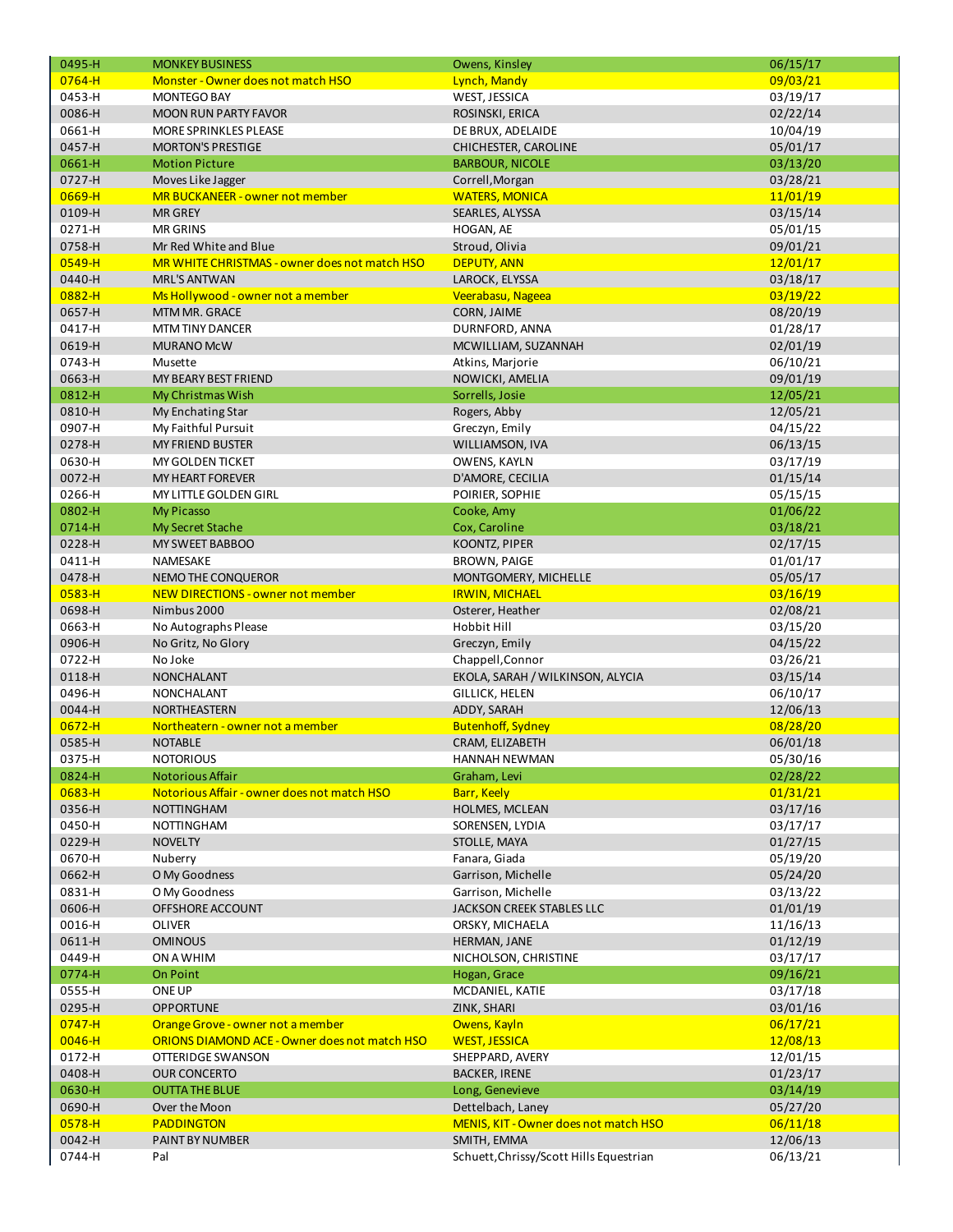| 0495-H     | <b>MONKEY BUSINESS</b>                        | Owens, Kinsley                          | 06/15/17 |
|------------|-----------------------------------------------|-----------------------------------------|----------|
| $0764 - H$ | <b>Monster - Owner does not match HSO</b>     | Lynch, Mandy                            | 09/03/21 |
| 0453-H     | <b>MONTEGO BAY</b>                            | WEST, JESSICA                           | 03/19/17 |
| 0086-H     | <b>MOON RUN PARTY FAVOR</b>                   | ROSINSKI, ERICA                         | 02/22/14 |
| 0661-H     | MORE SPRINKLES PLEASE                         | DE BRUX, ADELAIDE                       | 10/04/19 |
| 0457-H     | <b>MORTON'S PRESTIGE</b>                      | CHICHESTER, CAROLINE                    | 05/01/17 |
| 0661-H     | <b>Motion Picture</b>                         | <b>BARBOUR, NICOLE</b>                  | 03/13/20 |
| 0727-H     | Moves Like Jagger                             | Correll, Morgan                         | 03/28/21 |
| 0669-H     |                                               |                                         |          |
|            | MR BUCKANEER - owner not member               | <b>WATERS, MONICA</b>                   | 11/01/19 |
| 0109-H     | <b>MR GREY</b>                                | SEARLES, ALYSSA                         | 03/15/14 |
| 0271-H     | <b>MR GRINS</b>                               | HOGAN, AE                               | 05/01/15 |
| 0758-H     | Mr Red White and Blue                         | Stroud, Olivia                          | 09/01/21 |
| 0549-H     | MR WHITE CHRISTMAS - owner does not match HSO | <b>DEPUTY, ANN</b>                      | 12/01/17 |
| 0440-H     | <b>MRL'S ANTWAN</b>                           | LAROCK, ELYSSA                          | 03/18/17 |
| $0882 - H$ | Ms Hollywood - owner not a member             | Veerabasu, Nageea                       | 03/19/22 |
| 0657-H     | MTM MR. GRACE                                 | CORN, JAIME                             | 08/20/19 |
| 0417-H     | <b>MTM TINY DANCER</b>                        | DURNFORD, ANNA                          | 01/28/17 |
| 0619-H     | <b>MURANO McW</b>                             | MCWILLIAM, SUZANNAH                     | 02/01/19 |
| 0743-H     | Musette                                       | Atkins, Marjorie                        | 06/10/21 |
| 0663-H     | MY BEARY BEST FRIEND                          | NOWICKI, AMELIA                         | 09/01/19 |
| 0812-H     | My Christmas Wish                             | Sorrells, Josie                         | 12/05/21 |
| 0810-H     | My Enchating Star                             | Rogers, Abby                            | 12/05/21 |
| 0907-H     | My Faithful Pursuit                           | Greczyn, Emily                          | 04/15/22 |
| 0278-H     | <b>MY FRIEND BUSTER</b>                       | WILLIAMSON, IVA                         | 06/13/15 |
| 0630-H     | <b>MY GOLDEN TICKET</b>                       | OWENS, KAYLN                            | 03/17/19 |
| 0072-H     | <b>MY HEART FOREVER</b>                       | D'AMORE, CECILIA                        | 01/15/14 |
| 0266-H     | MY LITTLE GOLDEN GIRL                         |                                         |          |
|            |                                               | POIRIER, SOPHIE                         | 05/15/15 |
| 0802-H     | <b>My Picasso</b>                             | Cooke, Amy                              | 01/06/22 |
| 0714-H     | My Secret Stache                              | Cox, Caroline                           | 03/18/21 |
| 0228-H     | MY SWEET BABBOO                               | KOONTZ, PIPER                           | 02/17/15 |
| 0411-H     | NAMESAKE                                      | <b>BROWN, PAIGE</b>                     | 01/01/17 |
| 0478-H     | NEMO THE CONQUEROR                            | MONTGOMERY, MICHELLE                    | 05/05/17 |
| $0583 - H$ | NEW DIRECTIONS - owner not member             | <b>IRWIN, MICHAEL</b>                   | 03/16/19 |
| 0698-H     | Nimbus 2000                                   | Osterer, Heather                        | 02/08/21 |
| 0663-H     | No Autographs Please                          | Hobbit Hill                             | 03/15/20 |
| 0906-H     | No Gritz, No Glory                            | Greczyn, Emily                          | 04/15/22 |
| 0722-H     | No Joke                                       | Chappell, Connor                        | 03/26/21 |
| 0118-H     | <b>NONCHALANT</b>                             | EKOLA, SARAH / WILKINSON, ALYCIA        | 03/15/14 |
| 0496-H     | <b>NONCHALANT</b>                             | <b>GILLICK, HELEN</b>                   | 06/10/17 |
| 0044-H     | NORTHEASTERN                                  | ADDY, SARAH                             | 12/06/13 |
| $0672 - H$ | Northeatern - owner not a member              | <b>Butenhoff, Sydney</b>                | 08/28/20 |
| 0585-H     | <b>NOTABLE</b>                                | CRAM, ELIZABETH                         | 06/01/18 |
| 0375-H     | <b>NOTORIOUS</b>                              | HANNAH NEWMAN                           | 05/30/16 |
| 0824-H     | Notorious Affair                              | Graham, Levi                            | 02/28/22 |
| $0683 - H$ | Notorious Affair - owner does not match HSO   | Barr, Keely                             | 01/31/21 |
| 0356-H     | <b>NOTTINGHAM</b>                             | HOLMES, MCLEAN                          | 03/17/16 |
|            | <b>NOTTINGHAM</b>                             |                                         |          |
| 0450-H     |                                               | SORENSEN, LYDIA                         | 03/17/17 |
| 0229-H     | <b>NOVELTY</b>                                | STOLLE, MAYA                            | 01/27/15 |
| 0670-H     | Nuberry                                       | Fanara, Giada                           | 05/19/20 |
| 0662-H     | O My Goodness                                 | Garrison, Michelle                      | 05/24/20 |
| 0831-H     | O My Goodness                                 | Garrison, Michelle                      | 03/13/22 |
| 0606-H     | OFFSHORE ACCOUNT                              | JACKSON CREEK STABLES LLC               | 01/01/19 |
| 0016-H     | <b>OLIVER</b>                                 | ORSKY, MICHAELA                         | 11/16/13 |
| 0611-H     | <b>OMINOUS</b>                                | HERMAN, JANE                            | 01/12/19 |
| 0449-H     | ON A WHIM                                     | NICHOLSON, CHRISTINE                    | 03/17/17 |
| 0774-H     | <b>On Point</b>                               | Hogan, Grace                            | 09/16/21 |
| 0555-H     | ONE UP                                        | MCDANIEL, KATIE                         | 03/17/18 |
| 0295-H     | <b>OPPORTUNE</b>                              | ZINK, SHARI                             | 03/01/16 |
| $0747 - H$ | Orange Grove - owner not a member             | Owens, Kayln                            | 06/17/21 |
| $0046 - H$ | ORIONS DIAMOND ACE - Owner does not match HSO | <b>WEST, JESSICA</b>                    | 12/08/13 |
| 0172-H     | OTTERIDGE SWANSON                             | SHEPPARD, AVERY                         | 12/01/15 |
| 0408-H     | <b>OUR CONCERTO</b>                           | <b>BACKER, IRENE</b>                    | 01/23/17 |
| 0630-H     | <b>OUTTA THE BLUE</b>                         | Long, Genevieve                         | 03/14/19 |
| 0690-H     | Over the Moon                                 | Dettelbach, Laney                       | 05/27/20 |
| 0578-H     | <b>PADDINGTON</b>                             | MENIS, KIT - Owner does not match HSO   | 06/11/18 |
| 0042-H     |                                               | SMITH, EMMA                             |          |
|            | PAINT BY NUMBER                               |                                         | 12/06/13 |
| 0744-H     | Pal                                           | Schuett, Chrissy/Scott Hills Equestrian | 06/13/21 |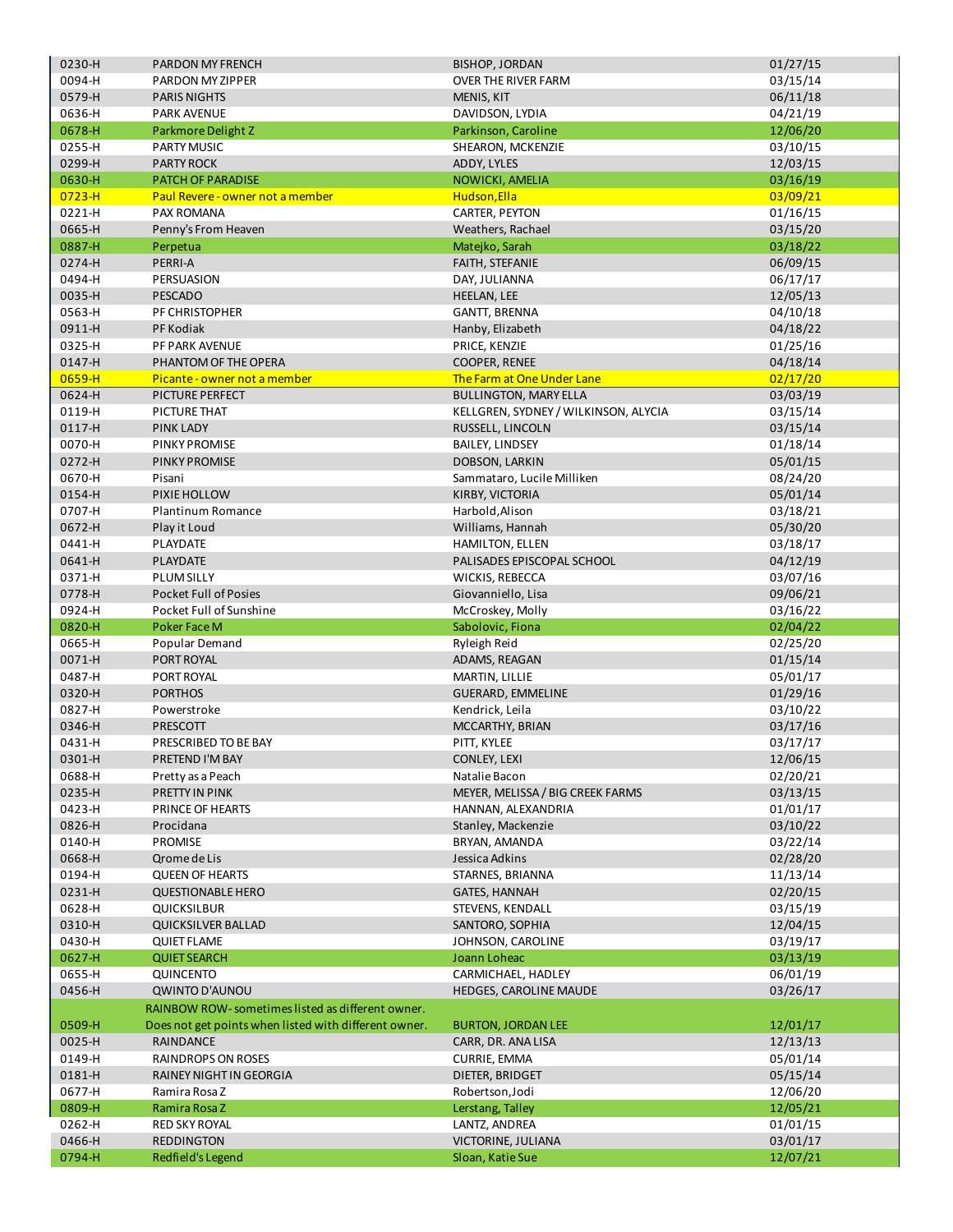|                  | PARDON MY FRENCH                                      | <b>BISHOP, JORDAN</b>                  | 01/27/15             |
|------------------|-------------------------------------------------------|----------------------------------------|----------------------|
| 0094-H           | PARDON MY ZIPPER                                      | <b>OVER THE RIVER FARM</b>             | 03/15/14             |
| 0579-H           | <b>PARIS NIGHTS</b>                                   | MENIS, KIT                             | 06/11/18             |
| 0636-H           | <b>PARK AVENUE</b>                                    | DAVIDSON, LYDIA                        | 04/21/19             |
| 0678-H           | Parkmore Delight Z                                    | Parkinson, Caroline                    | 12/06/20             |
| 0255-H           | <b>PARTY MUSIC</b>                                    | SHEARON, MCKENZIE                      | 03/10/15             |
| 0299-H           | <b>PARTY ROCK</b>                                     | ADDY, LYLES                            | 12/03/15             |
| 0630-H           | PATCH OF PARADISE                                     | NOWICKI, AMELIA                        | 03/16/19             |
| $0723 - H$       | Paul Revere - owner not a member                      | Hudson, Ella                           | 03/09/21             |
| 0221-H           |                                                       | CARTER, PEYTON                         |                      |
|                  | PAX ROMANA                                            |                                        | 01/16/15             |
| 0665-H           | Penny's From Heaven                                   | Weathers, Rachael                      | 03/15/20             |
| 0887-H           | Perpetua                                              | Matejko, Sarah                         | 03/18/22             |
| 0274-H           | PERRI-A                                               | <b>FAITH, STEFANIE</b>                 | 06/09/15             |
| 0494-H           | PERSUASION                                            | DAY, JULIANNA                          | 06/17/17             |
| 0035-H           | <b>PESCADO</b>                                        | <b>HEELAN, LEE</b>                     | 12/05/13             |
| 0563-H           | PF CHRISTOPHER                                        | GANTT, BRENNA                          | 04/10/18             |
| 0911-H           | PF Kodiak                                             | Hanby, Elizabeth                       | 04/18/22             |
| 0325-H           | PF PARK AVENUE                                        | PRICE, KENZIE                          | 01/25/16             |
| 0147-H           | PHANTOM OF THE OPERA                                  | COOPER, RENEE                          | 04/18/14             |
| 0659-H           | Picante - owner not a member                          | The Farm at One Under Lane             | 02/17/20             |
| 0624-H           | PICTURE PERFECT                                       | <b>BULLINGTON, MARY ELLA</b>           | 03/03/19             |
| 0119-H           | PICTURE THAT                                          | KELLGREN, SYDNEY / WILKINSON, ALYCIA   | 03/15/14             |
| 0117-H           | <b>PINK LADY</b>                                      | RUSSELL, LINCOLN                       | 03/15/14             |
| 0070-H           | PINKY PROMISE                                         | <b>BAILEY, LINDSEY</b>                 |                      |
|                  |                                                       |                                        | 01/18/14             |
| 0272-H           | PINKY PROMISE                                         | DOBSON, LARKIN                         | 05/01/15             |
| 0670-H           | Pisani                                                | Sammataro, Lucile Milliken             | 08/24/20             |
| 0154-H           | PIXIE HOLLOW                                          | KIRBY, VICTORIA                        | 05/01/14             |
| 0707-H           | Plantinum Romance                                     | Harbold, Alison                        | 03/18/21             |
| 0672-H           | Play it Loud                                          | Williams, Hannah                       | 05/30/20             |
| 0441-H           | PLAYDATE                                              | HAMILTON, ELLEN                        | 03/18/17             |
| 0641-H           | PLAYDATE                                              | PALISADES EPISCOPAL SCHOOL             | 04/12/19             |
| 0371-H           | <b>PLUM SILLY</b>                                     | WICKIS, REBECCA                        | 03/07/16             |
| 0778-H           | <b>Pocket Full of Posies</b>                          | Giovanniello, Lisa                     | 09/06/21             |
| 0924-H           | Pocket Full of Sunshine                               | McCroskey, Molly                       | 03/16/22             |
| 0820-H           | <b>Poker Face M</b>                                   | Sabolovic, Fiona                       | 02/04/22             |
| 0665-H           | Popular Demand                                        | Ryleigh Reid                           | 02/25/20             |
| 0071-H           | PORT ROYAL                                            | ADAMS, REAGAN                          | 01/15/14             |
|                  |                                                       | MARTIN, LILLIE                         | 05/01/17             |
|                  |                                                       |                                        |                      |
| 0487-H           | PORT ROYAL                                            |                                        |                      |
| 0320-H           | <b>PORTHOS</b>                                        | <b>GUERARD, EMMELINE</b>               | 01/29/16             |
| 0827-H           | Powerstroke                                           | Kendrick, Leila                        | 03/10/22             |
| 0346-H           | PRESCOTT                                              | MCCARTHY, BRIAN                        | 03/17/16             |
| 0431-H           | PRESCRIBED TO BE BAY                                  | PITT, KYLEE                            | 03/17/17             |
| 0301-H           | PRETEND I'M BAY                                       | CONLEY, LEXI                           | 12/06/15             |
| 0688-H           | Pretty as a Peach                                     | Natalie Bacon                          | 02/20/21             |
| 0235-H           | PRETTY IN PINK                                        | MEYER, MELISSA / BIG CREEK FARMS       | 03/13/15             |
| 0423-H           | PRINCE OF HEARTS                                      | HANNAN, ALEXANDRIA                     | 01/01/17             |
| 0826-H           | Procidana                                             | Stanley, Mackenzie                     | 03/10/22             |
| 0140-H           | PROMISE                                               | BRYAN, AMANDA                          | 03/22/14             |
| 0668-H           | Qrome de Lis                                          | Jessica Adkins                         | 02/28/20             |
|                  |                                                       | STARNES, BRIANNA                       |                      |
| 0194-H           | <b>QUEEN OF HEARTS</b>                                |                                        | 11/13/14             |
| 0231-H           | <b>QUESTIONABLE HERO</b>                              | <b>GATES, HANNAH</b>                   | 02/20/15             |
| 0628-H           | <b>QUICKSILBUR</b>                                    | STEVENS, KENDALL                       | 03/15/19             |
| 0310-H           | <b>QUICKSILVER BALLAD</b>                             | SANTORO, SOPHIA                        | 12/04/15             |
| 0430-H           | <b>QUIET FLAME</b>                                    | JOHNSON, CAROLINE                      | 03/19/17             |
| 0627-H           | <b>QUIET SEARCH</b>                                   | Joann Loheac                           | 03/13/19             |
| 0655-H           | QUINCENTO                                             | CARMICHAEL, HADLEY                     | 06/01/19             |
| 0456-H           | <b>QWINTO D'AUNOU</b>                                 | <b>HEDGES, CAROLINE MAUDE</b>          | 03/26/17             |
|                  | RAINBOW ROW-sometimes listed as different owner.      |                                        |                      |
| 0509-H           | Does not get points when listed with different owner. | <b>BURTON, JORDAN LEE</b>              | 12/01/17             |
| 0025-H           | RAINDANCE                                             | CARR, DR. ANA LISA                     | 12/13/13             |
| 0149-H           | RAINDROPS ON ROSES                                    | CURRIE, EMMA                           | 05/01/14             |
| 0181-H           | RAINEY NIGHT IN GEORGIA                               | DIETER, BRIDGET                        | 05/15/14             |
| 0677-H           | Ramira Rosa Z                                         | Robertson, Jodi                        | 12/06/20             |
|                  | Ramira Rosa Z                                         | Lerstang, Talley                       |                      |
| 0809-H<br>0262-H | <b>RED SKY ROYAL</b>                                  | LANTZ, ANDREA                          | 12/05/21             |
|                  |                                                       |                                        | 01/01/15             |
| 0466-H<br>0794-H | <b>REDDINGTON</b><br>Redfield's Legend                | VICTORINE, JULIANA<br>Sloan, Katie Sue | 03/01/17<br>12/07/21 |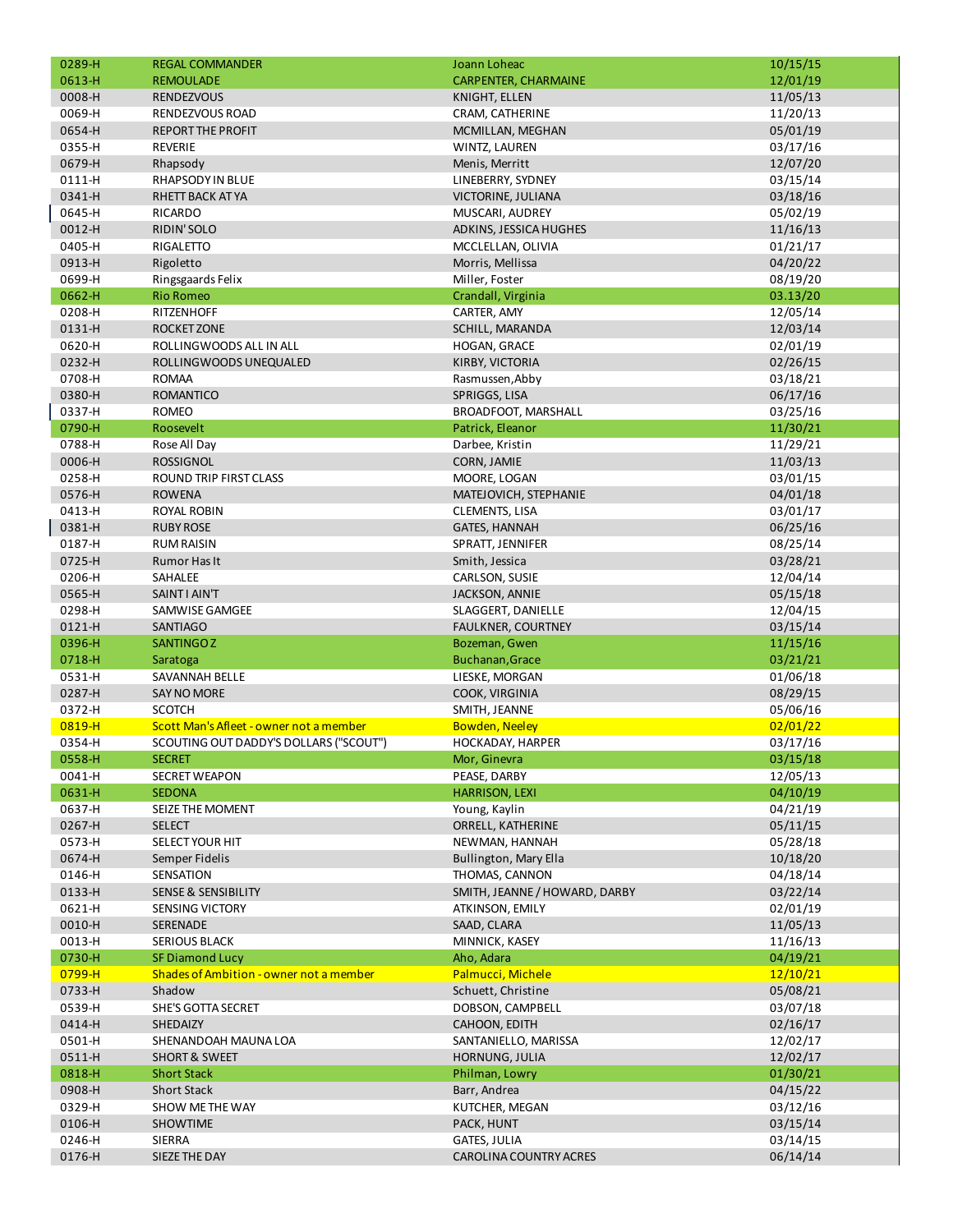| 0289-H<br>0613-H | <b>REGAL COMMANDER</b><br><b>REMOULADE</b> | Joann Loheac<br><b>CARPENTER, CHARMAINE</b> | 10/15/15             |
|------------------|--------------------------------------------|---------------------------------------------|----------------------|
| 0008-H           | <b>RENDEZVOUS</b>                          |                                             | 12/01/19             |
| 0069-H           |                                            | <b>KNIGHT, ELLEN</b>                        | 11/05/13<br>11/20/13 |
| 0654-H           | RENDEZVOUS ROAD                            | CRAM, CATHERINE                             | 05/01/19             |
|                  | <b>REPORT THE PROFIT</b><br><b>REVERIE</b> | MCMILLAN, MEGHAN                            |                      |
| 0355-H           |                                            | WINTZ, LAUREN                               | 03/17/16             |
| 0679-H           | Rhapsody                                   | Menis, Merritt                              | 12/07/20             |
| 0111-H           | RHAPSODY IN BLUE                           | LINEBERRY, SYDNEY                           | 03/15/14             |
| 0341-H           | RHETT BACK AT YA                           | VICTORINE, JULIANA                          | 03/18/16             |
| 0645-H           | RICARDO                                    | MUSCARI, AUDREY                             | 05/02/19             |
| 0012-H           | RIDIN'SOLO                                 | ADKINS, JESSICA HUGHES                      | 11/16/13             |
| 0405-H           | RIGALETTO                                  | MCCLELLAN, OLIVIA                           | 01/21/17             |
| 0913-H           | Rigoletto                                  | Morris, Mellissa                            | 04/20/22             |
| 0699-H           | Ringsgaards Felix                          | Miller, Foster                              | 08/19/20             |
| 0662-H           | <b>Rio Romeo</b>                           | Crandall, Virginia                          | 03.13/20             |
| 0208-H           | <b>RITZENHOFF</b>                          | CARTER, AMY                                 | 12/05/14             |
| 0131-H           | <b>ROCKET ZONE</b>                         | SCHILL, MARANDA                             | 12/03/14             |
| 0620-H           | ROLLINGWOODS ALL IN ALL                    | HOGAN, GRACE                                | 02/01/19             |
| 0232-H           | ROLLINGWOODS UNEQUALED                     | KIRBY, VICTORIA                             | 02/26/15             |
| 0708-H           | <b>ROMAA</b>                               | Rasmussen, Abby                             | 03/18/21             |
| 0380-H           | <b>ROMANTICO</b>                           | SPRIGGS, LISA                               | 06/17/16             |
| 0337-H           | <b>ROMEO</b>                               | BROADFOOT, MARSHALL                         | 03/25/16             |
| 0790-H           | Roosevelt                                  | Patrick, Eleanor                            | 11/30/21             |
| 0788-H           | Rose All Day                               | Darbee, Kristin                             | 11/29/21             |
| 0006-H           | <b>ROSSIGNOL</b>                           | CORN, JAMIE                                 | 11/03/13             |
| 0258-H           | ROUND TRIP FIRST CLASS                     | MOORE, LOGAN                                | 03/01/15             |
| 0576-H           | <b>ROWENA</b>                              | MATEJOVICH, STEPHANIE                       | 04/01/18             |
| 0413-H           | ROYAL ROBIN                                | CLEMENTS, LISA                              | 03/01/17             |
| 0381-H           | <b>RUBY ROSE</b>                           | <b>GATES, HANNAH</b>                        | 06/25/16             |
| 0187-H           | <b>RUM RAISIN</b>                          | SPRATT, JENNIFER                            | 08/25/14             |
| 0725-H           | Rumor Has It                               | Smith, Jessica                              | 03/28/21             |
| 0206-H           | SAHALEE                                    | CARLSON, SUSIE                              | 12/04/14             |
| 0565-H           | SAINT I AIN'T                              | JACKSON, ANNIE                              | 05/15/18             |
| 0298-H           | SAMWISE GAMGEE                             | SLAGGERT, DANIELLE                          | 12/04/15             |
| 0121-H           | <b>SANTIAGO</b>                            | <b>FAULKNER, COURTNEY</b>                   | 03/15/14             |
| 0396-H           | <b>SANTINGOZ</b>                           | Bozeman, Gwen                               | 11/15/16             |
| 0718-H           | Saratoga                                   | Buchanan, Grace                             | 03/21/21             |
| 0531-H           | <b>SAVANNAH BELLE</b>                      | LIESKE, MORGAN                              | 01/06/18             |
| 0287-H           | <b>SAY NO MORE</b>                         | COOK, VIRGINIA                              | 08/29/15             |
| 0372-H           | <b>SCOTCH</b>                              | SMITH, JEANNE                               | 05/06/16             |
| 0819-H           | Scott Man's Afleet - owner not a member    | <b>Bowden, Neeley</b>                       | 02/01/22             |
| 0354-H           | SCOUTING OUT DADDY'S DOLLARS ("SCOUT")     |                                             | 03/17/16             |
| 0558-H           | <b>SECRET</b>                              | HOCKADAY, HARPER<br>Mor, Ginevra            | 03/15/18             |
|                  |                                            |                                             |                      |
| 0041-H<br>0631-H | <b>SECRET WEAPON</b>                       | PEASE, DARBY                                | 12/05/13             |
| 0637-H           | <b>SEDONA</b>                              | <b>HARRISON, LEXI</b>                       | 04/10/19             |
|                  | SEIZE THE MOMENT                           | Young, Kaylin                               | 04/21/19             |
| 0267-H           | <b>SELECT</b>                              | ORRELL, KATHERINE                           | 05/11/15             |
| 0573-H           | SELECT YOUR HIT                            | NEWMAN, HANNAH                              | 05/28/18             |
| 0674-H           | Semper Fidelis                             | Bullington, Mary Ella                       | 10/18/20             |
| 0146-H           | SENSATION                                  | THOMAS, CANNON                              | 04/18/14             |
| 0133-H           | <b>SENSE &amp; SENSIBILITY</b>             | SMITH, JEANNE / HOWARD, DARBY               | 03/22/14             |
| 0621-H           | <b>SENSING VICTORY</b>                     | ATKINSON, EMILY                             | 02/01/19             |
| 0010-H           | SERENADE                                   | SAAD, CLARA                                 | 11/05/13             |
| 0013-H           | <b>SERIOUS BLACK</b>                       | MINNICK, KASEY                              | 11/16/13             |
| 0730-H           | <b>SF Diamond Lucy</b>                     | Aho, Adara                                  | 04/19/21             |
| 0799-H           | Shades of Ambition - owner not a member    | Palmucci, Michele                           | 12/10/21             |
| 0733-H           | Shadow                                     | Schuett, Christine                          | 05/08/21             |
| 0539-H           | SHE'S GOTTA SECRET                         | DOBSON, CAMPBELL                            | 03/07/18             |
| 0414-H           | SHEDAIZY                                   | CAHOON, EDITH                               | 02/16/17             |
| 0501-H           | SHENANDOAH MAUNA LOA                       | SANTANIELLO, MARISSA                        | 12/02/17             |
| 0511-H           | <b>SHORT &amp; SWEET</b>                   | HORNUNG, JULIA                              | 12/02/17             |
| 0818-H           | <b>Short Stack</b>                         | Philman, Lowry                              | 01/30/21             |
| 0908-H           | <b>Short Stack</b>                         | Barr, Andrea                                | 04/15/22             |
| 0329-H           | SHOW ME THE WAY                            | KUTCHER, MEGAN                              | 03/12/16             |
| 0106-H           | <b>SHOWTIME</b>                            | PACK, HUNT                                  | 03/15/14             |
| 0246-H           | SIERRA                                     | GATES, JULIA                                | 03/14/15             |
| 0176-H           | SIEZE THE DAY                              | CAROLINA COUNTRY ACRES                      | 06/14/14             |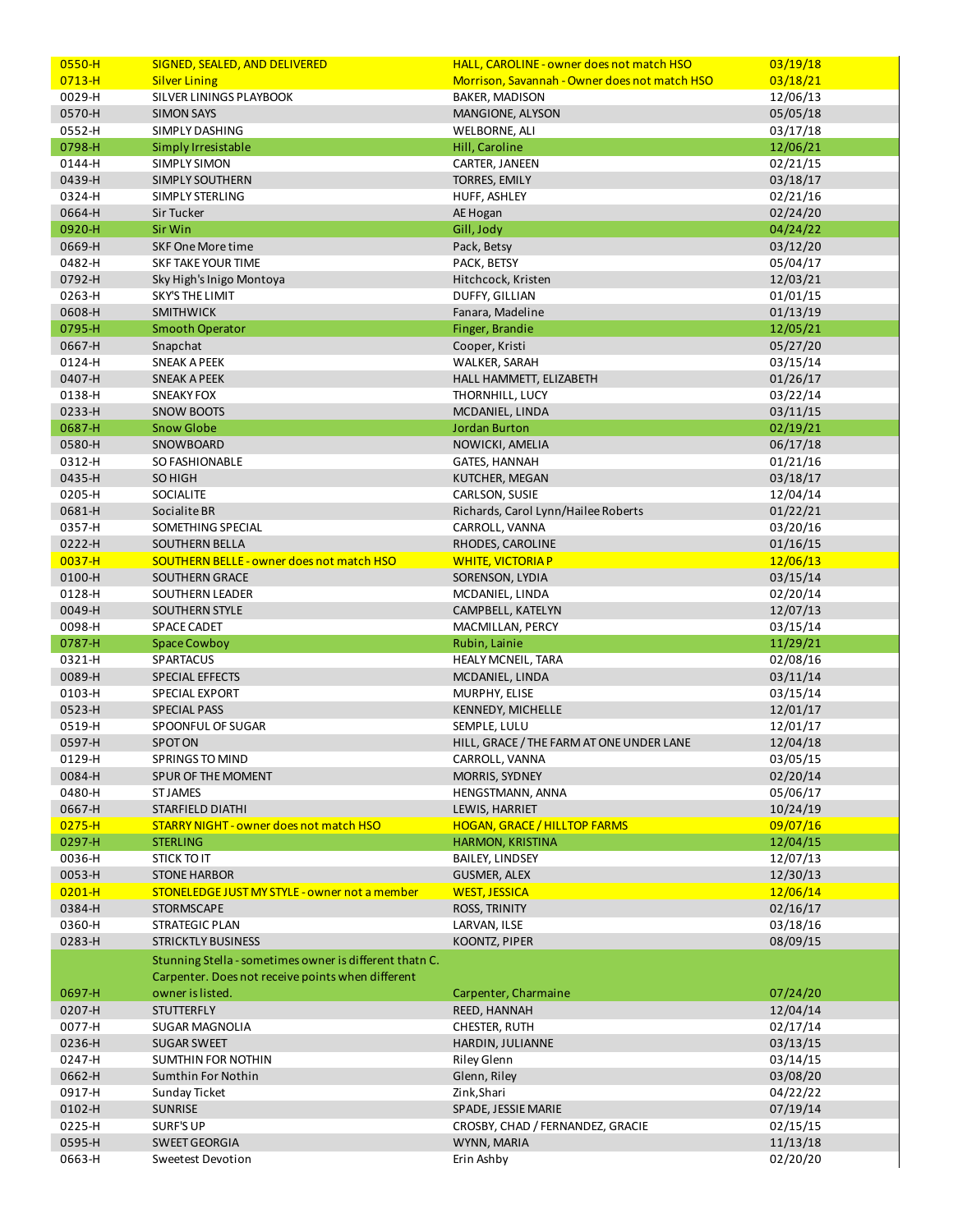| $0550 - H$       | SIGNED, SEALED, AND DELIVERED                           | HALL, CAROLINE - owner does not match HSO     | 03/19/18             |
|------------------|---------------------------------------------------------|-----------------------------------------------|----------------------|
| $0713 - H$       | <b>Silver Lining</b>                                    | Morrison, Savannah - Owner does not match HSO | 03/18/21             |
| 0029-H           | SILVER LININGS PLAYBOOK                                 | <b>BAKER, MADISON</b>                         | 12/06/13             |
| 0570-H           | <b>SIMON SAYS</b>                                       | MANGIONE, ALYSON                              | 05/05/18             |
| 0552-H           | SIMPLY DASHING                                          | <b>WELBORNE, ALI</b>                          | 03/17/18             |
| 0798-H           | Simply Irresistable                                     | Hill, Caroline                                | 12/06/21             |
| 0144-H           | SIMPLY SIMON                                            | CARTER, JANEEN                                | 02/21/15             |
| 0439-H           | SIMPLY SOUTHERN                                         | <b>TORRES, EMILY</b>                          | 03/18/17             |
| 0324-H           | SIMPLY STERLING                                         | HUFF, ASHLEY                                  | 02/21/16             |
| 0664-H           | <b>Sir Tucker</b>                                       | AE Hogan                                      | 02/24/20             |
| 0920-H           |                                                         |                                               |                      |
|                  | Sir Win                                                 | Gill, Jody                                    | 04/24/22             |
| 0669-H           | SKF One More time                                       | Pack, Betsy                                   | 03/12/20             |
| 0482-H           | <b>SKF TAKE YOUR TIME</b>                               | PACK, BETSY                                   | 05/04/17             |
| 0792-H           | Sky High's Inigo Montoya                                | Hitchcock, Kristen                            | 12/03/21             |
| 0263-H           | <b>SKY'S THE LIMIT</b>                                  | DUFFY, GILLIAN                                | 01/01/15             |
| 0608-H           | <b>SMITHWICK</b>                                        | Fanara, Madeline                              | 01/13/19             |
| 0795-H           | <b>Smooth Operator</b>                                  | Finger, Brandie                               | 12/05/21             |
| 0667-H           | Snapchat                                                | Cooper, Kristi                                | 05/27/20             |
| 0124-H           | <b>SNEAK A PEEK</b>                                     | WALKER, SARAH                                 | 03/15/14             |
| 0407-H           | <b>SNEAK A PEEK</b>                                     | HALL HAMMETT, ELIZABETH                       | 01/26/17             |
| 0138-H           | <b>SNEAKY FOX</b>                                       | THORNHILL, LUCY                               | 03/22/14             |
| 0233-H           | <b>SNOW BOOTS</b>                                       | MCDANIEL, LINDA                               | 03/11/15             |
| 0687-H           | <b>Snow Globe</b>                                       | <b>Jordan Burton</b>                          | 02/19/21             |
| 0580-H           | SNOWBOARD                                               | NOWICKI, AMELIA                               | 06/17/18             |
| 0312-H           | SO FASHIONABLE                                          | GATES, HANNAH                                 | 01/21/16             |
| 0435-H           | <b>SO HIGH</b>                                          | KUTCHER, MEGAN                                | 03/18/17             |
| 0205-H           | SOCIALITE                                               | CARLSON, SUSIE                                | 12/04/14             |
| 0681-H           | Socialite BR                                            | Richards, Carol Lynn/Hailee Roberts           | 01/22/21             |
| 0357-H           | SOMETHING SPECIAL                                       | CARROLL, VANNA                                | 03/20/16             |
| 0222-H           |                                                         | RHODES, CAROLINE                              |                      |
|                  | SOUTHERN BELLA                                          |                                               | 01/16/15             |
| $0037 - H$       | <b>SOUTHERN BELLE - owner does not match HSO</b>        | <b>WHITE, VICTORIAP</b>                       | 12/06/13             |
| 0100-H           | <b>SOUTHERN GRACE</b>                                   | SORENSON, LYDIA                               | 03/15/14             |
| 0128-H           | SOUTHERN LEADER                                         | MCDANIEL, LINDA                               | 02/20/14             |
| 0049-H           | <b>SOUTHERN STYLE</b>                                   | CAMPBELL, KATELYN                             | 12/07/13             |
|                  |                                                         |                                               |                      |
| 0098-H           | SPACE CADET                                             | MACMILLAN, PERCY                              | 03/15/14             |
| 0787-H           | <b>Space Cowboy</b>                                     | Rubin, Lainie                                 | 11/29/21             |
| 0321-H           | SPARTACUS                                               | HEALY MCNEIL, TARA                            | 02/08/16             |
| 0089-H           | SPECIAL EFFECTS                                         | MCDANIEL, LINDA                               | 03/11/14             |
| 0103-H           | SPECIAL EXPORT                                          | MURPHY, ELISE                                 | 03/15/14             |
| 0523-H           | <b>SPECIAL PASS</b>                                     | <b>KENNEDY, MICHELLE</b>                      | 12/01/17             |
| 0519-H           | SPOONFUL OF SUGAR                                       | SEMPLE, LULU                                  | 12/01/17             |
| 0597-H           | <b>SPOTON</b>                                           | HILL, GRACE / THE FARM AT ONE UNDER LANE      | 12/04/18             |
| 0129-H           | SPRINGS TO MIND                                         |                                               | 03/05/15             |
| 0084-H           | SPUR OF THE MOMENT                                      | CARROLL, VANNA<br>MORRIS, SYDNEY              | 02/20/14             |
|                  | <b>ST JAMES</b>                                         |                                               | 05/06/17             |
| 0480-H           | STARFIELD DIATHI                                        | HENGSTMANN, ANNA<br>LEWIS, HARRIET            |                      |
| 0667-H           |                                                         |                                               | 10/24/19             |
| $0275 - H$       | STARRY NIGHT - owner does not match HSO                 | <b>HOGAN, GRACE / HILLTOP FARMS</b>           | 09/07/16             |
| 0297-H           | <b>STERLING</b>                                         | <b>HARMON, KRISTINA</b>                       | 12/04/15             |
| 0036-H           | STICK TO IT                                             | <b>BAILEY, LINDSEY</b>                        | 12/07/13             |
| 0053-H           | <b>STONE HARBOR</b>                                     | <b>GUSMER, ALEX</b>                           | 12/30/13             |
| $0201 - H$       | STONELEDGE JUST MY STYLE - owner not a member           | <b>WEST, JESSICA</b>                          | 12/06/14             |
| 0384-H           | <b>STORMSCAPE</b>                                       | ROSS, TRINITY                                 | 02/16/17             |
| 0360-H           | STRATEGIC PLAN                                          | LARVAN, ILSE                                  | 03/18/16             |
| 0283-H           | <b>STRICKTLY BUSINESS</b>                               | KOONTZ, PIPER                                 | 08/09/15             |
|                  | Stunning Stella - sometimes owner is different thatn C. |                                               |                      |
|                  | Carpenter. Does not receive points when different       |                                               |                      |
| 0697-H           | owner is listed.                                        | Carpenter, Charmaine                          | 07/24/20             |
| 0207-H           | <b>STUTTERFLY</b>                                       | REED, HANNAH                                  | 12/04/14             |
| 0077-H           | SUGAR MAGNOLIA                                          | CHESTER, RUTH                                 | 02/17/14             |
| 0236-H           | <b>SUGAR SWEET</b>                                      | HARDIN, JULIANNE                              | 03/13/15             |
| 0247-H           | SUMTHIN FOR NOTHIN                                      | <b>Riley Glenn</b>                            | 03/14/15             |
| 0662-H           | Sumthin For Nothin                                      | Glenn, Riley                                  | 03/08/20             |
| 0917-H           | Sunday Ticket                                           | Zink, Shari                                   | 04/22/22             |
| 0102-H           | <b>SUNRISE</b>                                          | SPADE, JESSIE MARIE                           | 07/19/14             |
|                  | <b>SURF'S UP</b>                                        | CROSBY, CHAD / FERNANDEZ, GRACIE              | 02/15/15             |
| 0225-H           |                                                         |                                               |                      |
| 0595-H<br>0663-H | <b>SWEET GEORGIA</b><br>Sweetest Devotion               | WYNN, MARIA<br>Erin Ashby                     | 11/13/18<br>02/20/20 |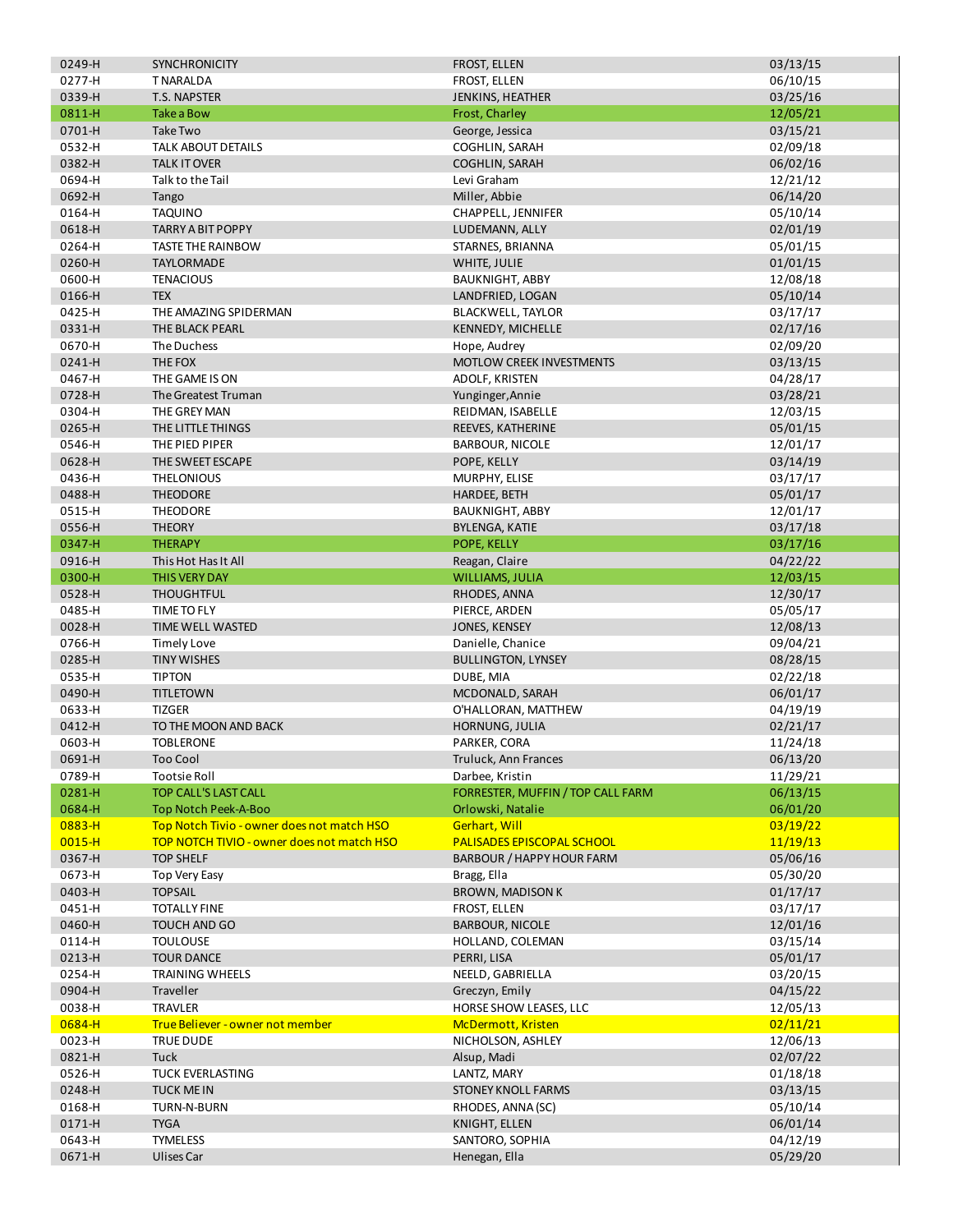| 0249-H     | <b>SYNCHRONICITY</b>                       | FROST, ELLEN                      | 03/13/15 |
|------------|--------------------------------------------|-----------------------------------|----------|
| 0277-H     | <b>TNARALDA</b>                            | FROST, ELLEN                      | 06/10/15 |
| 0339-H     | <b>T.S. NAPSTER</b>                        | JENKINS, HEATHER                  | 03/25/16 |
| 0811-H     | <b>Take a Bow</b>                          | Frost, Charley                    | 12/05/21 |
| 0701-H     | Take Two                                   | George, Jessica                   |          |
|            |                                            |                                   | 03/15/21 |
| 0532-H     | TALK ABOUT DETAILS                         | <b>COGHLIN, SARAH</b>             | 02/09/18 |
| 0382-H     | <b>TALK IT OVER</b>                        | <b>COGHLIN, SARAH</b>             | 06/02/16 |
| 0694-H     | Talk to the Tail                           | Levi Graham                       | 12/21/12 |
| 0692-H     | Tango                                      | Miller, Abbie                     | 06/14/20 |
| 0164-H     | TAQUINO                                    | CHAPPELL, JENNIFER                | 05/10/14 |
| 0618-H     | TARRY A BIT POPPY                          | LUDEMANN, ALLY                    | 02/01/19 |
|            |                                            | STARNES, BRIANNA                  | 05/01/15 |
| 0264-H     | <b>TASTE THE RAINBOW</b>                   |                                   |          |
| 0260-H     | <b>TAYLORMADE</b>                          | WHITE, JULIE                      | 01/01/15 |
| 0600-H     | <b>TENACIOUS</b>                           | <b>BAUKNIGHT, ABBY</b>            | 12/08/18 |
| 0166-H     | <b>TEX</b>                                 | LANDFRIED, LOGAN                  | 05/10/14 |
| 0425-H     | THE AMAZING SPIDERMAN                      | <b>BLACKWELL, TAYLOR</b>          | 03/17/17 |
| 0331-H     | THE BLACK PEARL                            | KENNEDY, MICHELLE                 | 02/17/16 |
| 0670-H     | The Duchess                                | Hope, Audrey                      | 02/09/20 |
| 0241-H     | THE FOX                                    | MOTLOW CREEK INVESTMENTS          |          |
|            |                                            |                                   | 03/13/15 |
| 0467-H     | THE GAME IS ON                             | ADOLF, KRISTEN                    | 04/28/17 |
| 0728-H     | The Greatest Truman                        | Yunginger, Annie                  | 03/28/21 |
| 0304-H     | THE GREY MAN                               | REIDMAN, ISABELLE                 | 12/03/15 |
| 0265-H     | THE LITTLE THINGS                          | REEVES, KATHERINE                 | 05/01/15 |
| 0546-H     | THE PIED PIPER                             | <b>BARBOUR, NICOLE</b>            | 12/01/17 |
| 0628-H     | THE SWEET ESCAPE                           | POPE, KELLY                       | 03/14/19 |
|            |                                            |                                   | 03/17/17 |
| 0436-H     | <b>THELONIOUS</b>                          | MURPHY, ELISE                     |          |
| 0488-H     | <b>THEODORE</b>                            | HARDEE, BETH                      | 05/01/17 |
| 0515-H     | THEODORE                                   | <b>BAUKNIGHT, ABBY</b>            | 12/01/17 |
| 0556-H     | <b>THEORY</b>                              | <b>BYLENGA, KATIE</b>             | 03/17/18 |
| 0347-H     | <b>THERAPY</b>                             | POPE, KELLY                       | 03/17/16 |
| 0916-H     | This Hot Has It All                        | Reagan, Claire                    | 04/22/22 |
| 0300-H     | <b>THIS VERY DAY</b>                       | WILLIAMS, JULIA                   | 12/03/15 |
| 0528-H     | <b>THOUGHTFUL</b>                          | RHODES, ANNA                      | 12/30/17 |
|            |                                            |                                   |          |
| 0485-H     | TIME TO FLY                                | PIERCE, ARDEN                     | 05/05/17 |
| 0028-H     | TIME WELL WASTED                           | JONES, KENSEY                     | 12/08/13 |
| 0766-H     | <b>Timely Love</b>                         | Danielle, Chanice                 | 09/04/21 |
| 0285-H     | <b>TINY WISHES</b>                         | <b>BULLINGTON, LYNSEY</b>         | 08/28/15 |
| 0535-H     | <b>TIPTON</b>                              | DUBE, MIA                         | 02/22/18 |
| 0490-H     | <b>TITLETOWN</b>                           | MCDONALD, SARAH                   | 06/01/17 |
| 0633-H     | <b>TIZGER</b>                              | O'HALLORAN, MATTHEW               | 04/19/19 |
|            |                                            |                                   |          |
| 0412-H     | TO THE MOON AND BACK                       | HORNUNG, JULIA                    | 02/21/17 |
| 0603-H     | <b>TOBLERONE</b>                           | PARKER, CORA                      | 11/24/18 |
| 0691-H     | <b>Too Cool</b>                            | Truluck, Ann Frances              | 06/13/20 |
| 0789-H     | <b>Tootsie Roll</b>                        | Darbee, Kristin                   | 11/29/21 |
| 0281-H     | <b>TOP CALL'S LAST CALL</b>                | FORRESTER, MUFFIN / TOP CALL FARM | 06/13/15 |
| 0684-H     | Top Notch Peek-A-Boo                       | Orlowski, Natalie                 | 06/01/20 |
| $0883 - H$ | Top Notch Tivio - owner does not match HSO | Gerhart, Will                     | 03/19/22 |
|            |                                            |                                   |          |
| $0015 - H$ | TOP NOTCH TIVIO - owner does not match HSO | <b>PALISADES EPISCOPAL SCHOOL</b> | 11/19/13 |
| 0367-H     | <b>TOP SHELF</b>                           | BARBOUR / HAPPY HOUR FARM         | 05/06/16 |
| 0673-H     | Top Very Easy                              | Bragg, Ella                       | 05/30/20 |
| 0403-H     | <b>TOPSAIL</b>                             | <b>BROWN, MADISON K</b>           | 01/17/17 |
| 0451-H     | <b>TOTALLY FINE</b>                        | FROST, ELLEN                      | 03/17/17 |
| 0460-H     | TOUCH AND GO                               | <b>BARBOUR, NICOLE</b>            | 12/01/16 |
| 0114-H     | <b>TOULOUSE</b>                            | HOLLAND, COLEMAN                  | 03/15/14 |
| 0213-H     | <b>TOUR DANCE</b>                          | PERRI, LISA                       | 05/01/17 |
|            |                                            |                                   |          |
| 0254-H     | TRAINING WHEELS                            | NEELD, GABRIELLA                  | 03/20/15 |
| 0904-H     | <b>Traveller</b>                           | Greczyn, Emily                    | 04/15/22 |
| 0038-H     | <b>TRAVLER</b>                             | HORSE SHOW LEASES, LLC            | 12/05/13 |
| 0684-H     | True Believer - owner not member           | McDermott, Kristen                | 02/11/21 |
| 0023-H     | TRUE DUDE                                  | NICHOLSON, ASHLEY                 | 12/06/13 |
| 0821-H     | Tuck                                       | Alsup, Madi                       | 02/07/22 |
| 0526-H     | TUCK EVERLASTING                           | LANTZ, MARY                       | 01/18/18 |
|            |                                            |                                   |          |
| 0248-H     | <b>TUCK MEIN</b>                           | <b>STONEY KNOLL FARMS</b>         | 03/13/15 |
| 0168-H     | TURN-N-BURN                                | RHODES, ANNA (SC)                 | 05/10/14 |
| 0171-H     | <b>TYGA</b>                                | KNIGHT, ELLEN                     | 06/01/14 |
| 0643-H     | <b>TYMELESS</b>                            | SANTORO, SOPHIA                   | 04/12/19 |
| 0671-H     | Ulises Car                                 | Henegan, Ella                     | 05/29/20 |
|            |                                            |                                   |          |